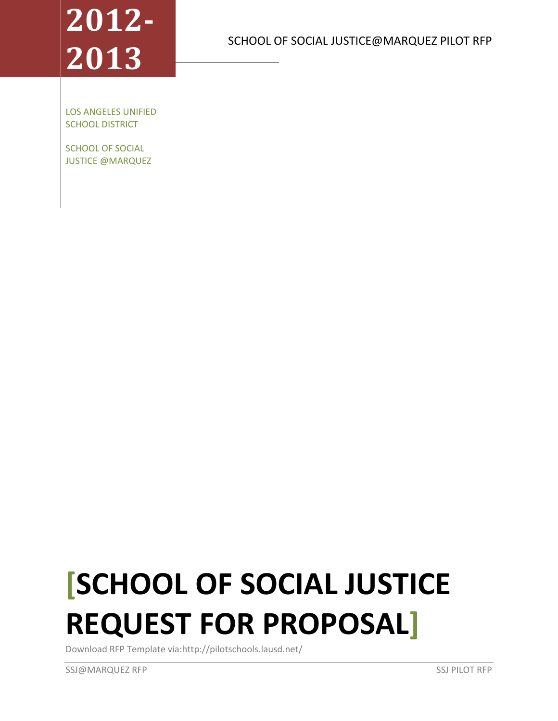# **2012- 2013**

SCHOOL OF SOCIAL JUSTICE@MARQUEZ PILOT RFP

LOS ANGELES UNIFIED SCHOOL DISTRICT

SCHOOL OF SOCIAL JUSTICE @MARQUEZ

# **[SCHOOL OF SOCIAL JUSTICE REQUEST FOR PROPOSAL]**

Download RFP Template via:http://pilotschools.lausd.net/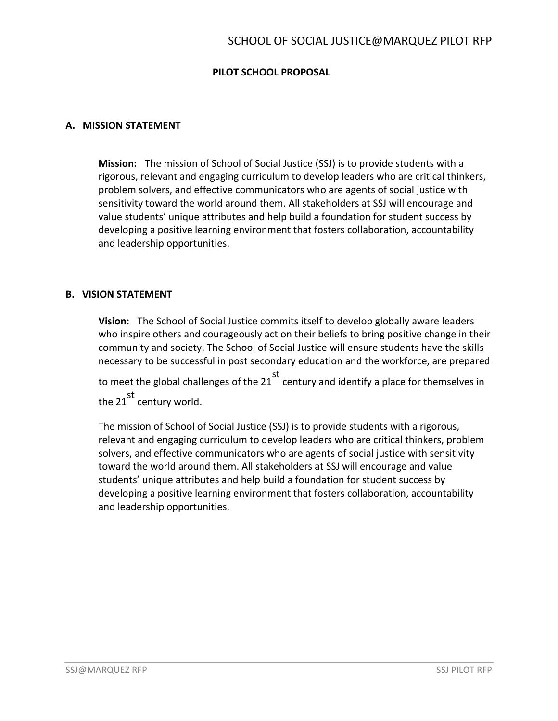## **PILOT SCHOOL PROPOSAL**

#### **A. MISSION STATEMENT**

**Mission:** The mission of School of Social Justice (SSJ) is to provide students with a rigorous, relevant and engaging curriculum to develop leaders who are critical thinkers, problem solvers, and effective communicators who are agents of social justice with sensitivity toward the world around them. All stakeholders at SSJ will encourage and value students' unique attributes and help build a foundation for student success by developing a positive learning environment that fosters collaboration, accountability and leadership opportunities.

#### **B. VISION STATEMENT**

**Vision:** The School of Social Justice commits itself to develop globally aware leaders who inspire others and courageously act on their beliefs to bring positive change in their community and society. The School of Social Justice will ensure students have the skills necessary to be successful in post secondary education and the workforce, are prepared to meet the global challenges of the 21 st century and identify a place for themselves in the  $21$ <sup>st</sup> century world.

The mission of School of Social Justice (SSJ) is to provide students with a rigorous, relevant and engaging curriculum to develop leaders who are critical thinkers, problem solvers, and effective communicators who are agents of social justice with sensitivity toward the world around them. All stakeholders at SSJ will encourage and value students' unique attributes and help build a foundation for student success by developing a positive learning environment that fosters collaboration, accountability and leadership opportunities.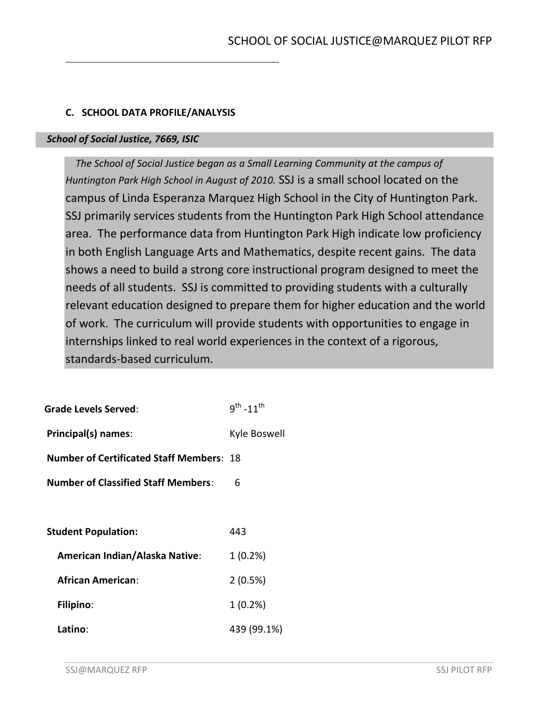#### **C. SCHOOL DATA PROFILE/ANALYSIS**

#### *School of Social Justice, 7669, ISIC*

 *The School of Social Justice began as a Small Learning Community at the campus of Huntington Park High School in August of 2010.* SSJ is a small school located on the campus of Linda Esperanza Marquez High School in the City of Huntington Park. SSJ primarily services students from the Huntington Park High School attendance area. The performance data from Huntington Park High indicate low proficiency in both English Language Arts and Mathematics, despite recent gains. The data shows a need to build a strong core instructional program designed to meet the needs of all students. SSJ is committed to providing students with a culturally relevant education designed to prepare them for higher education and the world of work. The curriculum will provide students with opportunities to engage in internships linked to real world experiences in the context of a rigorous, standards-based curriculum.

| Grade Levels Served:                            | $9^{th}$ -11 <sup>th</sup> |
|-------------------------------------------------|----------------------------|
| Principal(s) names:                             | Kyle Boswell               |
| <b>Number of Certificated Staff Members: 18</b> |                            |
| <b>Number of Classified Staff Members:</b>      | 6                          |
|                                                 |                            |
| <b>Student Population:</b>                      | 443                        |
| <b>American Indian/Alaska Native:</b>           | 1(0.2%)                    |
| <b>African American:</b>                        | 2(0.5%)                    |
| <b>Filipino:</b>                                | 1(0.2%)                    |
| Latino:                                         | 439 (99.1%)                |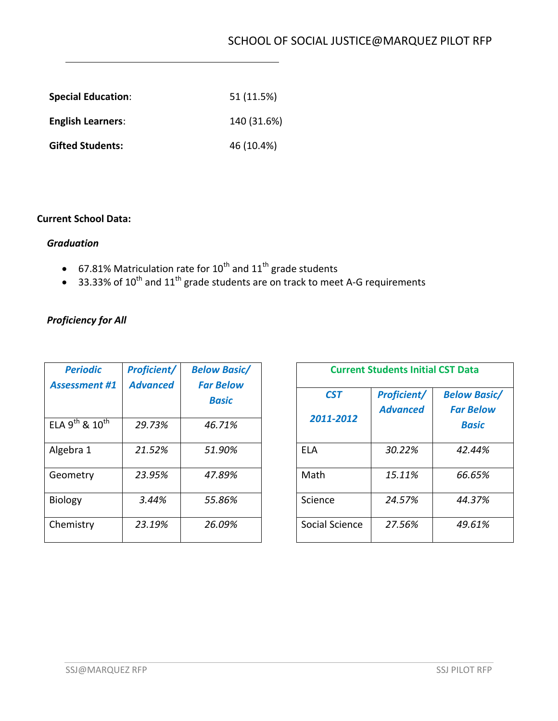| <b>Special Education:</b> | 51 (11.5%)  |
|---------------------------|-------------|
| <b>English Learners:</b>  | 140 (31.6%) |
| <b>Gifted Students:</b>   | 46 (10.4%)  |

#### **Current School Data:**

#### *Graduation*

- 67.81% Matriculation rate for  $10^{th}$  and  $11^{th}$  grade students
- 33.33% of 10<sup>th</sup> and 11<sup>th</sup> grade students are on track to meet A-G requirements

## *Proficiency for All*

| <b>Periodic</b><br><b>Assessment #1</b> | <b>Proficient/</b><br><b>Advanced</b> | <b>Below Basic/</b><br><b>Far Below</b><br>Basic |
|-----------------------------------------|---------------------------------------|--------------------------------------------------|
| ELA 9 <sup>th</sup> & 10 <sup>th</sup>  | 29.73%                                | 46.71%                                           |
| Algebra 1                               | 21.52%                                | 51.90%                                           |
| Geometry                                | 23.95%                                | 47.89%                                           |
| <b>Biology</b>                          | 3.44%                                 | 55.86%                                           |
| Chemistry                               | 23.19%                                | 26.09%                                           |

|                | <b>Current Students Initial CST Data</b> |                                  |
|----------------|------------------------------------------|----------------------------------|
| CST            | <b>Proficient/</b>                       | <b>Below Basic/</b>              |
| 2011-2012      | <b>Advanced</b>                          | <b>Far Below</b><br><b>Basic</b> |
| FLA            | 30.22%                                   | 42.44%                           |
| Math           | 15.11%                                   | 66.65%                           |
| Science        | 24.57%                                   | 44.37%                           |
| Social Science | 27.56%                                   | 49.61%                           |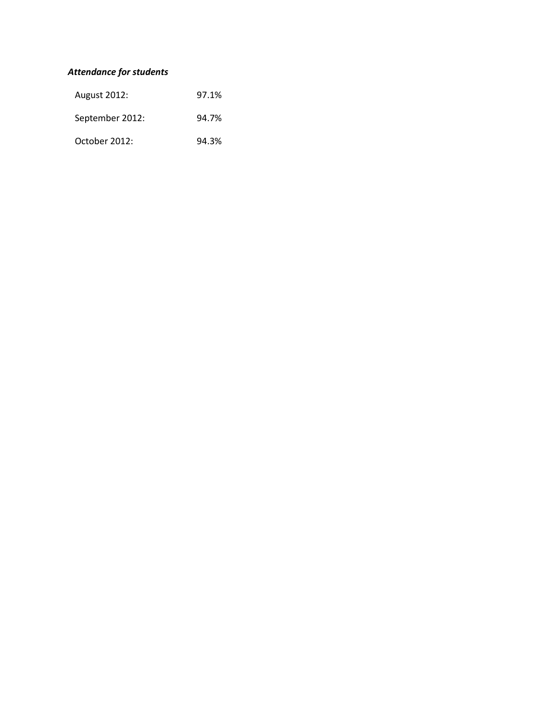## *Attendance for students*

| <b>August 2012:</b> | 97.1% |
|---------------------|-------|
| September 2012:     | 94.7% |
| October 2012:       | 94.3% |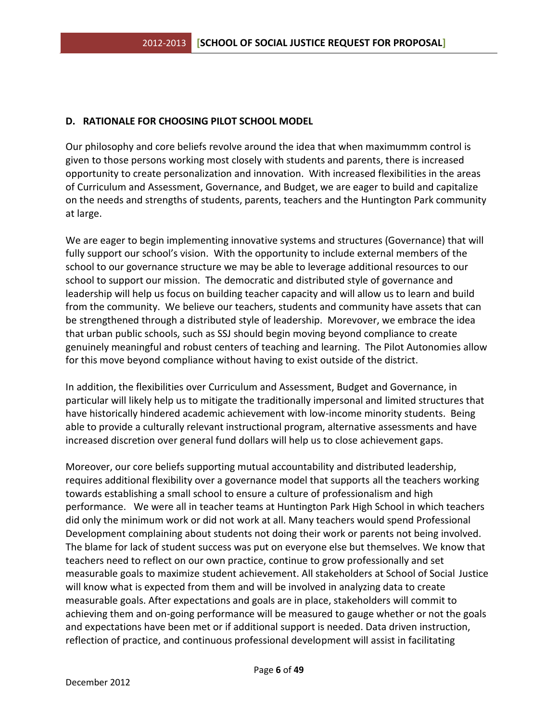#### **D. RATIONALE FOR CHOOSING PILOT SCHOOL MODEL**

Our philosophy and core beliefs revolve around the idea that when maximummm control is given to those persons working most closely with students and parents, there is increased opportunity to create personalization and innovation. With increased flexibilities in the areas of Curriculum and Assessment, Governance, and Budget, we are eager to build and capitalize on the needs and strengths of students, parents, teachers and the Huntington Park community at large.

We are eager to begin implementing innovative systems and structures (Governance) that will fully support our school's vision. With the opportunity to include external members of the school to our governance structure we may be able to leverage additional resources to our school to support our mission. The democratic and distributed style of governance and leadership will help us focus on building teacher capacity and will allow us to learn and build from the community. We believe our teachers, students and community have assets that can be strengthened through a distributed style of leadership. Morevover, we embrace the idea that urban public schools, such as SSJ should begin moving beyond compliance to create genuinely meaningful and robust centers of teaching and learning. The Pilot Autonomies allow for this move beyond compliance without having to exist outside of the district.

In addition, the flexibilities over Curriculum and Assessment, Budget and Governance, in particular will likely help us to mitigate the traditionally impersonal and limited structures that have historically hindered academic achievement with low-income minority students. Being able to provide a culturally relevant instructional program, alternative assessments and have increased discretion over general fund dollars will help us to close achievement gaps.

Moreover, our core beliefs supporting mutual accountability and distributed leadership, requires additional flexibility over a governance model that supports all the teachers working towards establishing a small school to ensure a culture of professionalism and high performance. We were all in teacher teams at Huntington Park High School in which teachers did only the minimum work or did not work at all. Many teachers would spend Professional Development complaining about students not doing their work or parents not being involved. The blame for lack of student success was put on everyone else but themselves. We know that teachers need to reflect on our own practice, continue to grow professionally and set measurable goals to maximize student achievement. All stakeholders at School of Social Justice will know what is expected from them and will be involved in analyzing data to create measurable goals. After expectations and goals are in place, stakeholders will commit to achieving them and on-going performance will be measured to gauge whether or not the goals and expectations have been met or if additional support is needed. Data driven instruction, reflection of practice, and continuous professional development will assist in facilitating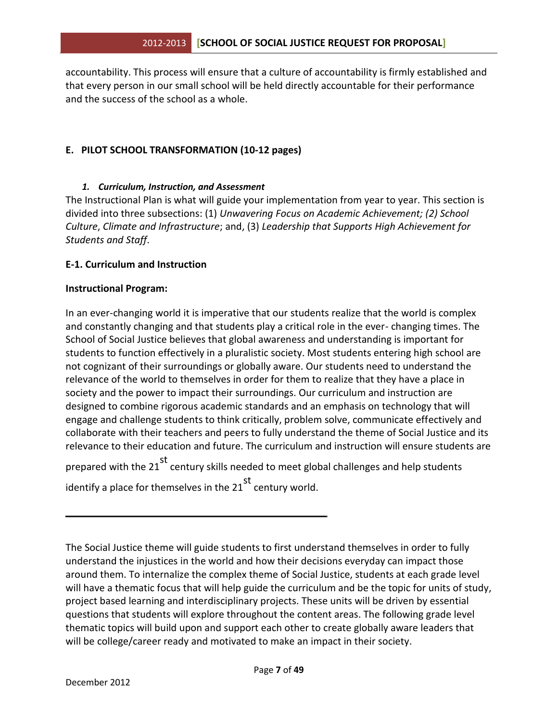accountability. This process will ensure that a culture of accountability is firmly established and that every person in our small school will be held directly accountable for their performance and the success of the school as a whole.

#### **E. PILOT SCHOOL TRANSFORMATION (10-12 pages)**

#### *1. Curriculum, Instruction, and Assessment*

The Instructional Plan is what will guide your implementation from year to year. This section is divided into three subsections: (1) *Unwavering Focus on Academic Achievement; (2) School Culture*, *Climate and Infrastructure*; and, (3) *Leadership that Supports High Achievement for Students and Staff*.

#### **E-1. Curriculum and Instruction**

#### **Instructional Program:**

In an ever-changing world it is imperative that our students realize that the world is complex and constantly changing and that students play a critical role in the ever- changing times. The School of Social Justice believes that global awareness and understanding is important for students to function effectively in a pluralistic society. Most students entering high school are not cognizant of their surroundings or globally aware. Our students need to understand the relevance of the world to themselves in order for them to realize that they have a place in society and the power to impact their surroundings. Our curriculum and instruction are designed to combine rigorous academic standards and an emphasis on technology that will engage and challenge students to think critically, problem solve, communicate effectively and collaborate with their teachers and peers to fully understand the theme of Social Justice and its relevance to their education and future. The curriculum and instruction will ensure students are

prepared with the 21<sup>st</sup> century skills needed to meet global challenges and help students identify a place for themselves in the  $21^{st}$  century world.

The Social Justice theme will guide students to first understand themselves in order to fully understand the injustices in the world and how their decisions everyday can impact those around them. To internalize the complex theme of Social Justice, students at each grade level will have a thematic focus that will help guide the curriculum and be the topic for units of study, project based learning and interdisciplinary projects. These units will be driven by essential questions that students will explore throughout the content areas. The following grade level thematic topics will build upon and support each other to create globally aware leaders that will be college/career ready and motivated to make an impact in their society.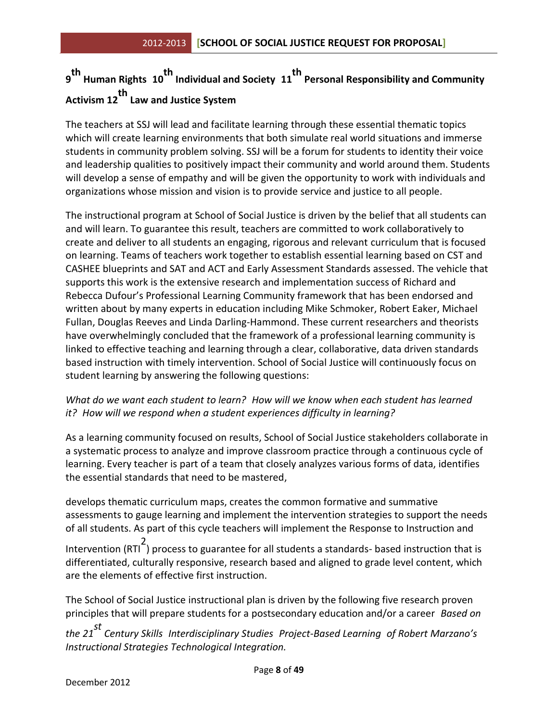## **9 th Human Rights <sup>10</sup> th Individual and Society <sup>11</sup> th Personal Responsibility and Community Activism 12 th Law and Justice System**

The teachers at SSJ will lead and facilitate learning through these essential thematic topics which will create learning environments that both simulate real world situations and immerse students in community problem solving. SSJ will be a forum for students to identity their voice and leadership qualities to positively impact their community and world around them. Students will develop a sense of empathy and will be given the opportunity to work with individuals and organizations whose mission and vision is to provide service and justice to all people.

The instructional program at School of Social Justice is driven by the belief that all students can and will learn. To guarantee this result, teachers are committed to work collaboratively to create and deliver to all students an engaging, rigorous and relevant curriculum that is focused on learning. Teams of teachers work together to establish essential learning based on CST and CASHEE blueprints and SAT and ACT and Early Assessment Standards assessed. The vehicle that supports this work is the extensive research and implementation success of Richard and Rebecca Dufour's Professional Learning Community framework that has been endorsed and written about by many experts in education including Mike Schmoker, Robert Eaker, Michael Fullan, Douglas Reeves and Linda Darling-Hammond. These current researchers and theorists have overwhelmingly concluded that the framework of a professional learning community is linked to effective teaching and learning through a clear, collaborative, data driven standards based instruction with timely intervention. School of Social Justice will continuously focus on student learning by answering the following questions:

#### *What do we want each student to learn? How will we know when each student has learned it? How will we respond when a student experiences difficulty in learning?*

As a learning community focused on results, School of Social Justice stakeholders collaborate in a systematic process to analyze and improve classroom practice through a continuous cycle of learning. Every teacher is part of a team that closely analyzes various forms of data, identifies the essential standards that need to be mastered,

develops thematic curriculum maps, creates the common formative and summative assessments to gauge learning and implement the intervention strategies to support the needs of all students. As part of this cycle teachers will implement the Response to Instruction and

Intervention (RTI<sup>2</sup>) process to guarantee for all students a standards- based instruction that is differentiated, culturally responsive, research based and aligned to grade level content, which are the elements of effective first instruction.

The School of Social Justice instructional plan is driven by the following five research proven principles that will prepare students for a postsecondary education and/or a career *Based on* 

*the 21 st Century Skills Interdisciplinary Studies Project-Based Learning of Robert Marzano's Instructional Strategies Technological Integration.*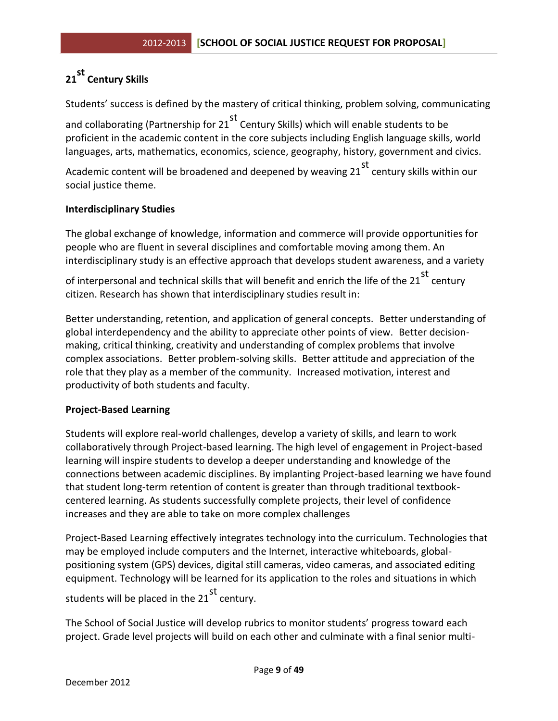## **21 st Century Skills**

Students' success is defined by the mastery of critical thinking, problem solving, communicating

and collaborating (Partnership for  $21^{st}$  Century Skills) which will enable students to be proficient in the academic content in the core subjects including English language skills, world languages, arts, mathematics, economics, science, geography, history, government and civics.

Academic content will be broadened and deepened by weaving 21 st century skills within our social justice theme.

#### **Interdisciplinary Studies**

The global exchange of knowledge, information and commerce will provide opportunities for people who are fluent in several disciplines and comfortable moving among them. An interdisciplinary study is an effective approach that develops student awareness, and a variety

of interpersonal and technical skills that will benefit and enrich the life of the 21  $^{\rm st}$  century citizen. Research has shown that interdisciplinary studies result in:

Better understanding, retention, and application of general concepts. Better understanding of global interdependency and the ability to appreciate other points of view. Better decisionmaking, critical thinking, creativity and understanding of complex problems that involve complex associations. Better problem-solving skills. Better attitude and appreciation of the role that they play as a member of the community. Increased motivation, interest and productivity of both students and faculty.

#### **Project-Based Learning**

Students will explore real-world challenges, develop a variety of skills, and learn to work collaboratively through Project-based learning. The high level of engagement in Project-based learning will inspire students to develop a deeper understanding and knowledge of the connections between academic disciplines. By implanting Project-based learning we have found that student long-term retention of content is greater than through traditional textbookcentered learning. As students successfully complete projects, their level of confidence increases and they are able to take on more complex challenges

Project-Based Learning effectively integrates technology into the curriculum. Technologies that may be employed include computers and the Internet, interactive whiteboards, globalpositioning system (GPS) devices, digital still cameras, video cameras, and associated editing equipment. Technology will be learned for its application to the roles and situations in which

students will be placed in the 21<sup>st</sup> century.

The School of Social Justice will develop rubrics to monitor students' progress toward each project. Grade level projects will build on each other and culminate with a final senior multi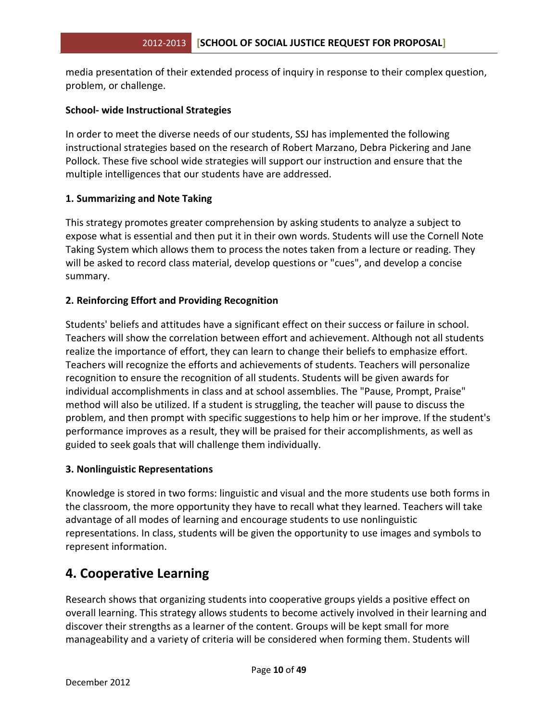media presentation of their extended process of inquiry in response to their complex question, problem, or challenge.

#### **School- wide Instructional Strategies**

In order to meet the diverse needs of our students, SSJ has implemented the following instructional strategies based on the research of Robert Marzano, Debra Pickering and Jane Pollock. These five school wide strategies will support our instruction and ensure that the multiple intelligences that our students have are addressed.

#### **1. Summarizing and Note Taking**

This strategy promotes greater comprehension by asking students to analyze a subject to expose what is essential and then put it in their own words. Students will use the Cornell Note Taking System which allows them to process the notes taken from a lecture or reading. They will be asked to record class material, develop questions or "cues", and develop a concise summary.

#### **2. Reinforcing Effort and Providing Recognition**

Students' beliefs and attitudes have a significant effect on their success or failure in school. Teachers will show the correlation between effort and achievement. Although not all students realize the importance of effort, they can learn to change their beliefs to emphasize effort. Teachers will recognize the efforts and achievements of students. Teachers will personalize recognition to ensure the recognition of all students. Students will be given awards for individual accomplishments in class and at school assemblies. The "Pause, Prompt, Praise" method will also be utilized. If a student is struggling, the teacher will pause to discuss the problem, and then prompt with specific suggestions to help him or her improve. If the student's performance improves as a result, they will be praised for their accomplishments, as well as guided to seek goals that will challenge them individually.

#### **3. Nonlinguistic Representations**

Knowledge is stored in two forms: linguistic and visual and the more students use both forms in the classroom, the more opportunity they have to recall what they learned. Teachers will take advantage of all modes of learning and encourage students to use nonlinguistic representations. In class, students will be given the opportunity to use images and symbols to represent information.

## **4. Cooperative Learning**

Research shows that organizing students into cooperative groups yields a positive effect on overall learning. This strategy allows students to become actively involved in their learning and discover their strengths as a learner of the content. Groups will be kept small for more manageability and a variety of criteria will be considered when forming them. Students will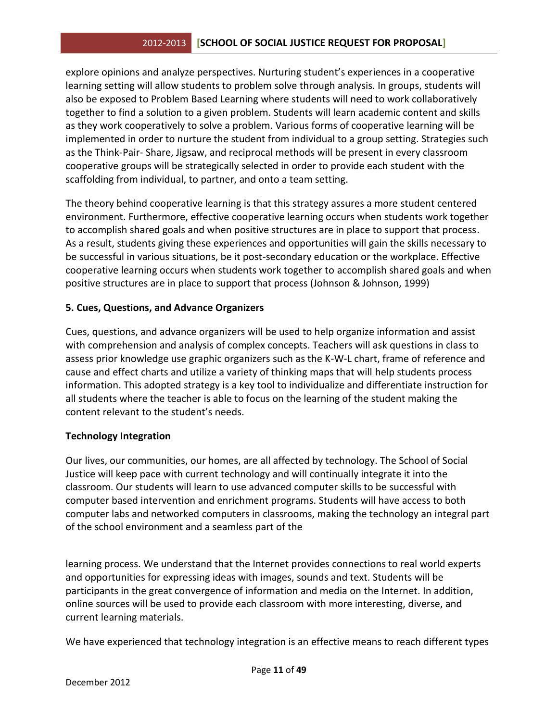explore opinions and analyze perspectives. Nurturing student's experiences in a cooperative learning setting will allow students to problem solve through analysis. In groups, students will also be exposed to Problem Based Learning where students will need to work collaboratively together to find a solution to a given problem. Students will learn academic content and skills as they work cooperatively to solve a problem. Various forms of cooperative learning will be implemented in order to nurture the student from individual to a group setting. Strategies such as the Think-Pair- Share, Jigsaw, and reciprocal methods will be present in every classroom cooperative groups will be strategically selected in order to provide each student with the scaffolding from individual, to partner, and onto a team setting.

The theory behind cooperative learning is that this strategy assures a more student centered environment. Furthermore, effective cooperative learning occurs when students work together to accomplish shared goals and when positive structures are in place to support that process. As a result, students giving these experiences and opportunities will gain the skills necessary to be successful in various situations, be it post-secondary education or the workplace. Effective cooperative learning occurs when students work together to accomplish shared goals and when positive structures are in place to support that process (Johnson & Johnson, 1999)

#### **5. Cues, Questions, and Advance Organizers**

Cues, questions, and advance organizers will be used to help organize information and assist with comprehension and analysis of complex concepts. Teachers will ask questions in class to assess prior knowledge use graphic organizers such as the K-W-L chart, frame of reference and cause and effect charts and utilize a variety of thinking maps that will help students process information. This adopted strategy is a key tool to individualize and differentiate instruction for all students where the teacher is able to focus on the learning of the student making the content relevant to the student's needs.

#### **Technology Integration**

Our lives, our communities, our homes, are all affected by technology. The School of Social Justice will keep pace with current technology and will continually integrate it into the classroom. Our students will learn to use advanced computer skills to be successful with computer based intervention and enrichment programs. Students will have access to both computer labs and networked computers in classrooms, making the technology an integral part of the school environment and a seamless part of the

learning process. We understand that the Internet provides connections to real world experts and opportunities for expressing ideas with images, sounds and text. Students will be participants in the great convergence of information and media on the Internet. In addition, online sources will be used to provide each classroom with more interesting, diverse, and current learning materials.

We have experienced that technology integration is an effective means to reach different types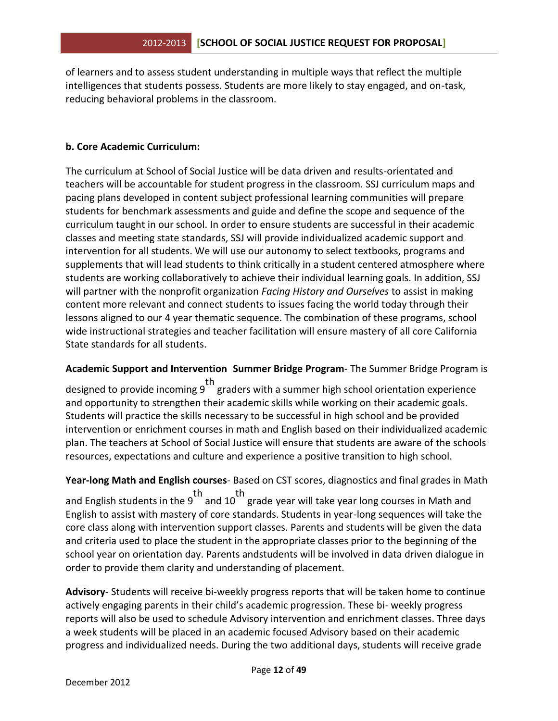of learners and to assess student understanding in multiple ways that reflect the multiple intelligences that students possess. Students are more likely to stay engaged, and on-task, reducing behavioral problems in the classroom.

#### **b. Core Academic Curriculum:**

The curriculum at School of Social Justice will be data driven and results-orientated and teachers will be accountable for student progress in the classroom. SSJ curriculum maps and pacing plans developed in content subject professional learning communities will prepare students for benchmark assessments and guide and define the scope and sequence of the curriculum taught in our school. In order to ensure students are successful in their academic classes and meeting state standards, SSJ will provide individualized academic support and intervention for all students. We will use our autonomy to select textbooks, programs and supplements that will lead students to think critically in a student centered atmosphere where students are working collaboratively to achieve their individual learning goals. In addition, SSJ will partner with the nonprofit organization *Facing History and Ourselves* to assist in making content more relevant and connect students to issues facing the world today through their lessons aligned to our 4 year thematic sequence. The combination of these programs, school wide instructional strategies and teacher facilitation will ensure mastery of all core California State standards for all students.

**Academic Support and Intervention Summer Bridge Program**- The Summer Bridge Program is

th<br>designed to provide incoming 9 graders with a summer high school orientation experience and opportunity to strengthen their academic skills while working on their academic goals. Students will practice the skills necessary to be successful in high school and be provided intervention or enrichment courses in math and English based on their individualized academic plan. The teachers at School of Social Justice will ensure that students are aware of the schools resources, expectations and culture and experience a positive transition to high school.

**Year-long Math and English courses**- Based on CST scores, diagnostics and final grades in Math

and English students in the 9<sup>th</sup> and 10<sup>th</sup> grade year will take year long courses in Math and English to assist with mastery of core standards. Students in year-long sequences will take the core class along with intervention support classes. Parents and students will be given the data and criteria used to place the student in the appropriate classes prior to the beginning of the school year on orientation day. Parents andstudents will be involved in data driven dialogue in order to provide them clarity and understanding of placement.

**Advisory**- Students will receive bi-weekly progress reports that will be taken home to continue actively engaging parents in their child's academic progression. These bi- weekly progress reports will also be used to schedule Advisory intervention and enrichment classes. Three days a week students will be placed in an academic focused Advisory based on their academic progress and individualized needs. During the two additional days, students will receive grade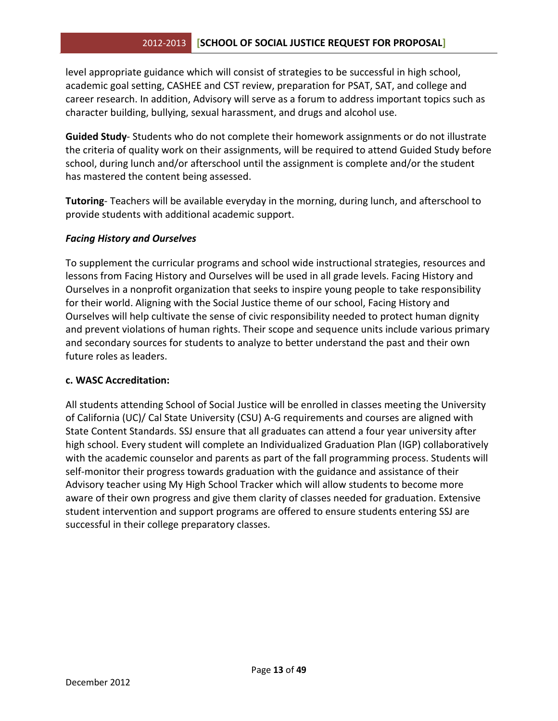#### 2012-2013 **[SCHOOL OF SOCIAL JUSTICE REQUEST FOR PROPOSAL]**

level appropriate guidance which will consist of strategies to be successful in high school, academic goal setting, CASHEE and CST review, preparation for PSAT, SAT, and college and career research. In addition, Advisory will serve as a forum to address important topics such as character building, bullying, sexual harassment, and drugs and alcohol use.

**Guided Study**- Students who do not complete their homework assignments or do not illustrate the criteria of quality work on their assignments, will be required to attend Guided Study before school, during lunch and/or afterschool until the assignment is complete and/or the student has mastered the content being assessed.

**Tutoring**- Teachers will be available everyday in the morning, during lunch, and afterschool to provide students with additional academic support.

#### *Facing History and Ourselves*

To supplement the curricular programs and school wide instructional strategies, resources and lessons from Facing History and Ourselves will be used in all grade levels. Facing History and Ourselves in a nonprofit organization that seeks to inspire young people to take responsibility for their world. Aligning with the Social Justice theme of our school, Facing History and Ourselves will help cultivate the sense of civic responsibility needed to protect human dignity and prevent violations of human rights. Their scope and sequence units include various primary and secondary sources for students to analyze to better understand the past and their own future roles as leaders.

#### **c. WASC Accreditation:**

All students attending School of Social Justice will be enrolled in classes meeting the University of California (UC)/ Cal State University (CSU) A-G requirements and courses are aligned with State Content Standards. SSJ ensure that all graduates can attend a four year university after high school. Every student will complete an Individualized Graduation Plan (IGP) collaboratively with the academic counselor and parents as part of the fall programming process. Students will self-monitor their progress towards graduation with the guidance and assistance of their Advisory teacher using My High School Tracker which will allow students to become more aware of their own progress and give them clarity of classes needed for graduation. Extensive student intervention and support programs are offered to ensure students entering SSJ are successful in their college preparatory classes.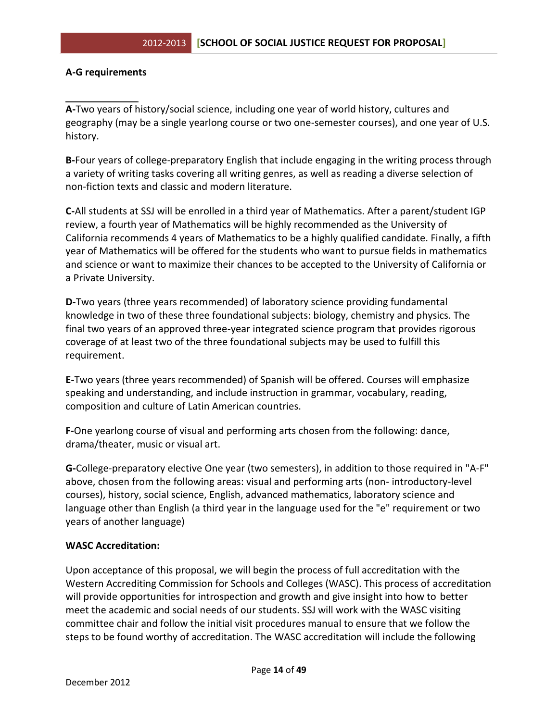#### **A-G requirements**

**A-**Two years of history/social science, including one year of world history, cultures and geography (may be a single yearlong course or two one-semester courses), and one year of U.S. history.

**B-**Four years of college-preparatory English that include engaging in the writing process through a variety of writing tasks covering all writing genres, as well as reading a diverse selection of non-fiction texts and classic and modern literature.

**C-**All students at SSJ will be enrolled in a third year of Mathematics. After a parent/student IGP review, a fourth year of Mathematics will be highly recommended as the University of California recommends 4 years of Mathematics to be a highly qualified candidate. Finally, a fifth year of Mathematics will be offered for the students who want to pursue fields in mathematics and science or want to maximize their chances to be accepted to the University of California or a Private University.

**D-**Two years (three years recommended) of laboratory science providing fundamental knowledge in two of these three foundational subjects: biology, chemistry and physics. The final two years of an approved three-year integrated science program that provides rigorous coverage of at least two of the three foundational subjects may be used to fulfill this requirement.

**E-**Two years (three years recommended) of Spanish will be offered. Courses will emphasize speaking and understanding, and include instruction in grammar, vocabulary, reading, composition and culture of Latin American countries.

**F-**One yearlong course of visual and performing arts chosen from the following: dance, drama/theater, music or visual art.

**G-**College-preparatory elective One year (two semesters), in addition to those required in "A-F" above, chosen from the following areas: visual and performing arts (non- introductory-level courses), history, social science, English, advanced mathematics, laboratory science and language other than English (a third year in the language used for the "e" requirement or two years of another language)

#### **WASC Accreditation:**

Upon acceptance of this proposal, we will begin the process of full accreditation with the Western Accrediting Commission for Schools and Colleges (WASC). This process of accreditation will provide opportunities for introspection and growth and give insight into how to better meet the academic and social needs of our students. SSJ will work with the WASC visiting committee chair and follow the initial visit procedures manual to ensure that we follow the steps to be found worthy of accreditation. The WASC accreditation will include the following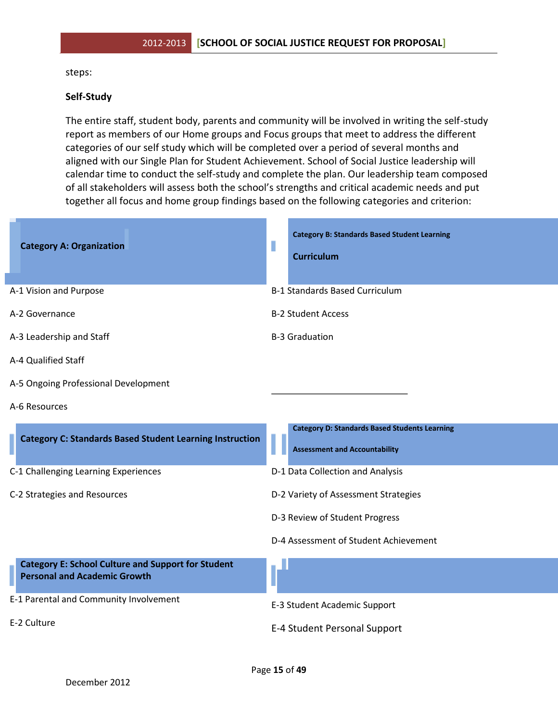#### steps:

#### **Self-Study**

The entire staff, student body, parents and community will be involved in writing the self-study report as members of our Home groups and Focus groups that meet to address the different categories of our self study which will be completed over a period of several months and aligned with our Single Plan for Student Achievement. School of Social Justice leadership will calendar time to conduct the self-study and complete the plan. Our leadership team composed of all stakeholders will assess both the school's strengths and critical academic needs and put together all focus and home group findings based on the following categories and criterion:

| <b>Category A: Organization</b>                                                                  | <b>Category B: Standards Based Student Learning</b><br><b>Curriculum</b>                     |
|--------------------------------------------------------------------------------------------------|----------------------------------------------------------------------------------------------|
| A-1 Vision and Purpose                                                                           | <b>B-1 Standards Based Curriculum</b>                                                        |
| A-2 Governance                                                                                   | <b>B-2 Student Access</b>                                                                    |
| A-3 Leadership and Staff                                                                         | <b>B-3 Graduation</b>                                                                        |
| A-4 Qualified Staff                                                                              |                                                                                              |
| A-5 Ongoing Professional Development                                                             |                                                                                              |
| A-6 Resources                                                                                    |                                                                                              |
| <b>Category C: Standards Based Student Learning Instruction</b>                                  | <b>Category D: Standards Based Students Learning</b><br><b>Assessment and Accountability</b> |
| C-1 Challenging Learning Experiences                                                             | D-1 Data Collection and Analysis                                                             |
| C-2 Strategies and Resources                                                                     | D-2 Variety of Assessment Strategies                                                         |
|                                                                                                  | D-3 Review of Student Progress                                                               |
|                                                                                                  | D-4 Assessment of Student Achievement                                                        |
| <b>Category E: School Culture and Support for Student</b><br><b>Personal and Academic Growth</b> |                                                                                              |
| E-1 Parental and Community Involvement                                                           | E-3 Student Academic Support                                                                 |
| E-2 Culture                                                                                      | E-4 Student Personal Support                                                                 |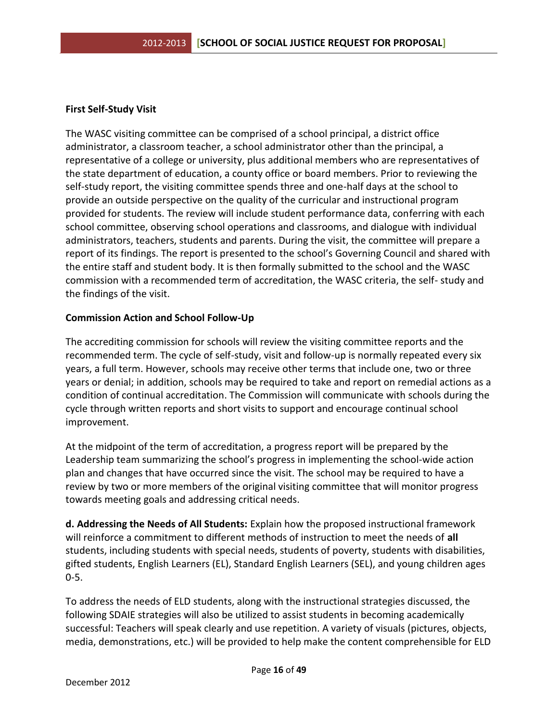#### **First Self-Study Visit**

The WASC visiting committee can be comprised of a school principal, a district office administrator, a classroom teacher, a school administrator other than the principal, a representative of a college or university, plus additional members who are representatives of the state department of education, a county office or board members. Prior to reviewing the self-study report, the visiting committee spends three and one-half days at the school to provide an outside perspective on the quality of the curricular and instructional program provided for students. The review will include student performance data, conferring with each school committee, observing school operations and classrooms, and dialogue with individual administrators, teachers, students and parents. During the visit, the committee will prepare a report of its findings. The report is presented to the school's Governing Council and shared with the entire staff and student body. It is then formally submitted to the school and the WASC commission with a recommended term of accreditation, the WASC criteria, the self- study and the findings of the visit.

#### **Commission Action and School Follow-Up**

The accrediting commission for schools will review the visiting committee reports and the recommended term. The cycle of self-study, visit and follow-up is normally repeated every six years, a full term. However, schools may receive other terms that include one, two or three years or denial; in addition, schools may be required to take and report on remedial actions as a condition of continual accreditation. The Commission will communicate with schools during the cycle through written reports and short visits to support and encourage continual school improvement.

At the midpoint of the term of accreditation, a progress report will be prepared by the Leadership team summarizing the school's progress in implementing the school-wide action plan and changes that have occurred since the visit. The school may be required to have a review by two or more members of the original visiting committee that will monitor progress towards meeting goals and addressing critical needs.

**d. Addressing the Needs of All Students:** Explain how the proposed instructional framework will reinforce a commitment to different methods of instruction to meet the needs of **all**  students, including students with special needs, students of poverty, students with disabilities, gifted students, English Learners (EL), Standard English Learners (SEL), and young children ages 0-5.

To address the needs of ELD students, along with the instructional strategies discussed, the following SDAIE strategies will also be utilized to assist students in becoming academically successful: Teachers will speak clearly and use repetition. A variety of visuals (pictures, objects, media, demonstrations, etc.) will be provided to help make the content comprehensible for ELD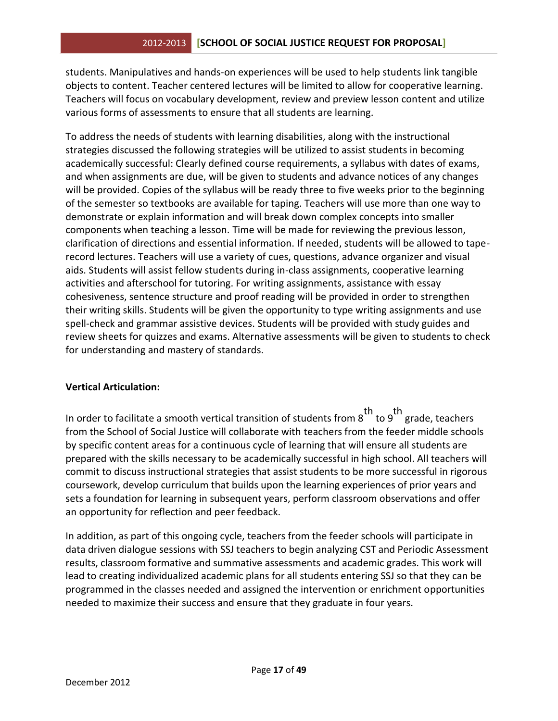students. Manipulatives and hands-on experiences will be used to help students link tangible objects to content. Teacher centered lectures will be limited to allow for cooperative learning. Teachers will focus on vocabulary development, review and preview lesson content and utilize various forms of assessments to ensure that all students are learning.

To address the needs of students with learning disabilities, along with the instructional strategies discussed the following strategies will be utilized to assist students in becoming academically successful: Clearly defined course requirements, a syllabus with dates of exams, and when assignments are due, will be given to students and advance notices of any changes will be provided. Copies of the syllabus will be ready three to five weeks prior to the beginning of the semester so textbooks are available for taping. Teachers will use more than one way to demonstrate or explain information and will break down complex concepts into smaller components when teaching a lesson. Time will be made for reviewing the previous lesson, clarification of directions and essential information. If needed, students will be allowed to taperecord lectures. Teachers will use a variety of cues, questions, advance organizer and visual aids. Students will assist fellow students during in-class assignments, cooperative learning activities and afterschool for tutoring. For writing assignments, assistance with essay cohesiveness, sentence structure and proof reading will be provided in order to strengthen their writing skills. Students will be given the opportunity to type writing assignments and use spell-check and grammar assistive devices. Students will be provided with study guides and review sheets for quizzes and exams. Alternative assessments will be given to students to check for understanding and mastery of standards.

#### **Vertical Articulation:**

In order to facilitate a smooth vertical transition of students from  $8$ <sup>th</sup> to  $9$ <sup>th</sup> grade, teachers from the School of Social Justice will collaborate with teachers from the feeder middle schools by specific content areas for a continuous cycle of learning that will ensure all students are prepared with the skills necessary to be academically successful in high school. All teachers will commit to discuss instructional strategies that assist students to be more successful in rigorous coursework, develop curriculum that builds upon the learning experiences of prior years and sets a foundation for learning in subsequent years, perform classroom observations and offer an opportunity for reflection and peer feedback.

In addition, as part of this ongoing cycle, teachers from the feeder schools will participate in data driven dialogue sessions with SSJ teachers to begin analyzing CST and Periodic Assessment results, classroom formative and summative assessments and academic grades. This work will lead to creating individualized academic plans for all students entering SSJ so that they can be programmed in the classes needed and assigned the intervention or enrichment opportunities needed to maximize their success and ensure that they graduate in four years.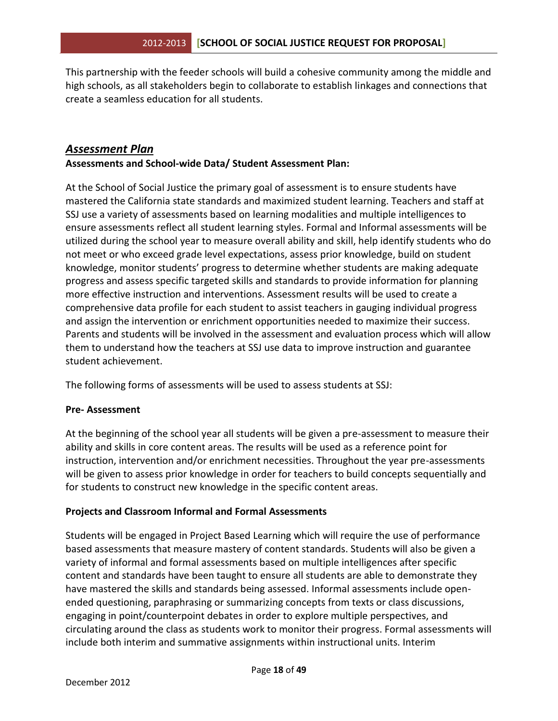This partnership with the feeder schools will build a cohesive community among the middle and high schools, as all stakeholders begin to collaborate to establish linkages and connections that create a seamless education for all students.

## *Assessment Plan*

**Assessments and School-wide Data/ Student Assessment Plan:** 

At the School of Social Justice the primary goal of assessment is to ensure students have mastered the California state standards and maximized student learning. Teachers and staff at SSJ use a variety of assessments based on learning modalities and multiple intelligences to ensure assessments reflect all student learning styles. Formal and Informal assessments will be utilized during the school year to measure overall ability and skill, help identify students who do not meet or who exceed grade level expectations, assess prior knowledge, build on student knowledge, monitor students' progress to determine whether students are making adequate progress and assess specific targeted skills and standards to provide information for planning more effective instruction and interventions. Assessment results will be used to create a comprehensive data profile for each student to assist teachers in gauging individual progress and assign the intervention or enrichment opportunities needed to maximize their success. Parents and students will be involved in the assessment and evaluation process which will allow them to understand how the teachers at SSJ use data to improve instruction and guarantee student achievement.

The following forms of assessments will be used to assess students at SSJ:

#### **Pre- Assessment**

At the beginning of the school year all students will be given a pre-assessment to measure their ability and skills in core content areas. The results will be used as a reference point for instruction, intervention and/or enrichment necessities. Throughout the year pre-assessments will be given to assess prior knowledge in order for teachers to build concepts sequentially and for students to construct new knowledge in the specific content areas.

#### **Projects and Classroom Informal and Formal Assessments**

Students will be engaged in Project Based Learning which will require the use of performance based assessments that measure mastery of content standards. Students will also be given a variety of informal and formal assessments based on multiple intelligences after specific content and standards have been taught to ensure all students are able to demonstrate they have mastered the skills and standards being assessed. Informal assessments include openended questioning, paraphrasing or summarizing concepts from texts or class discussions, engaging in point/counterpoint debates in order to explore multiple perspectives, and circulating around the class as students work to monitor their progress. Formal assessments will include both interim and summative assignments within instructional units. Interim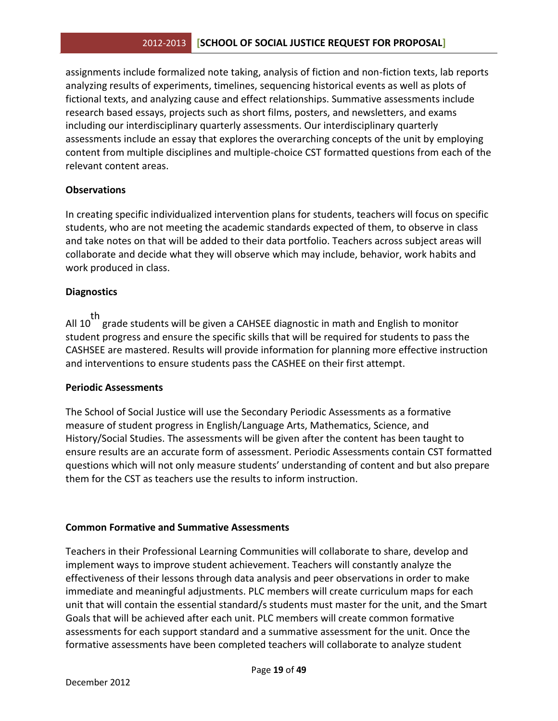assignments include formalized note taking, analysis of fiction and non-fiction texts, lab reports analyzing results of experiments, timelines, sequencing historical events as well as plots of fictional texts, and analyzing cause and effect relationships. Summative assessments include research based essays, projects such as short films, posters, and newsletters, and exams including our interdisciplinary quarterly assessments. Our interdisciplinary quarterly assessments include an essay that explores the overarching concepts of the unit by employing content from multiple disciplines and multiple-choice CST formatted questions from each of the relevant content areas.

#### **Observations**

In creating specific individualized intervention plans for students, teachers will focus on specific students, who are not meeting the academic standards expected of them, to observe in class and take notes on that will be added to their data portfolio. Teachers across subject areas will collaborate and decide what they will observe which may include, behavior, work habits and work produced in class.

#### **Diagnostics**

th the grade students will be given a CAHSEE diagnostic in math and English to monitor student progress and ensure the specific skills that will be required for students to pass the CASHSEE are mastered. Results will provide information for planning more effective instruction and interventions to ensure students pass the CASHEE on their first attempt.

#### **Periodic Assessments**

The School of Social Justice will use the Secondary Periodic Assessments as a formative measure of student progress in English/Language Arts, Mathematics, Science, and History/Social Studies. The assessments will be given after the content has been taught to ensure results are an accurate form of assessment. Periodic Assessments contain CST formatted questions which will not only measure students' understanding of content and but also prepare them for the CST as teachers use the results to inform instruction.

#### **Common Formative and Summative Assessments**

Teachers in their Professional Learning Communities will collaborate to share, develop and implement ways to improve student achievement. Teachers will constantly analyze the effectiveness of their lessons through data analysis and peer observations in order to make immediate and meaningful adjustments. PLC members will create curriculum maps for each unit that will contain the essential standard/s students must master for the unit, and the Smart Goals that will be achieved after each unit. PLC members will create common formative assessments for each support standard and a summative assessment for the unit. Once the formative assessments have been completed teachers will collaborate to analyze student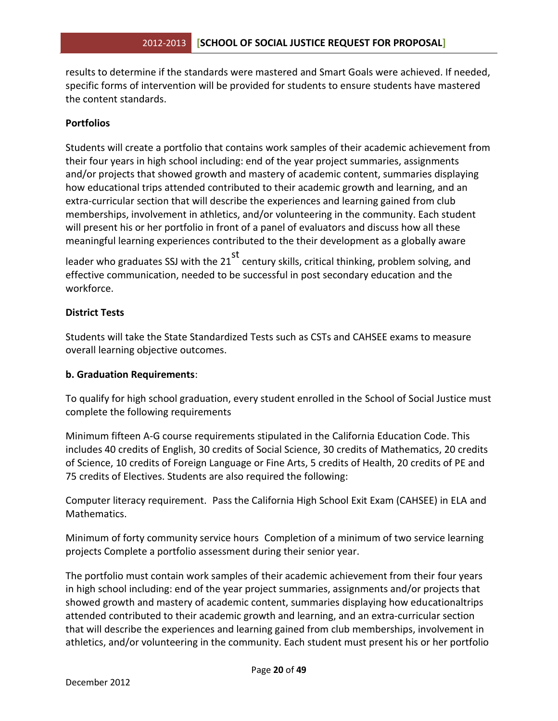results to determine if the standards were mastered and Smart Goals were achieved. If needed, specific forms of intervention will be provided for students to ensure students have mastered the content standards.

#### **Portfolios**

Students will create a portfolio that contains work samples of their academic achievement from their four years in high school including: end of the year project summaries, assignments and/or projects that showed growth and mastery of academic content, summaries displaying how educational trips attended contributed to their academic growth and learning, and an extra-curricular section that will describe the experiences and learning gained from club memberships, involvement in athletics, and/or volunteering in the community. Each student will present his or her portfolio in front of a panel of evaluators and discuss how all these meaningful learning experiences contributed to the their development as a globally aware

leader who graduates SSJ with the  $21<sup>st</sup>$  century skills, critical thinking, problem solving, and effective communication, needed to be successful in post secondary education and the workforce.

#### **District Tests**

Students will take the State Standardized Tests such as CSTs and CAHSEE exams to measure overall learning objective outcomes.

#### **b. Graduation Requirements**:

To qualify for high school graduation, every student enrolled in the School of Social Justice must complete the following requirements

Minimum fifteen A-G course requirements stipulated in the California Education Code. This includes 40 credits of English, 30 credits of Social Science, 30 credits of Mathematics, 20 credits of Science, 10 credits of Foreign Language or Fine Arts, 5 credits of Health, 20 credits of PE and 75 credits of Electives. Students are also required the following:

Computer literacy requirement. Pass the California High School Exit Exam (CAHSEE) in ELA and Mathematics.

Minimum of forty community service hours Completion of a minimum of two service learning projects Complete a portfolio assessment during their senior year.

The portfolio must contain work samples of their academic achievement from their four years in high school including: end of the year project summaries, assignments and/or projects that showed growth and mastery of academic content, summaries displaying how educationaltrips attended contributed to their academic growth and learning, and an extra-curricular section that will describe the experiences and learning gained from club memberships, involvement in athletics, and/or volunteering in the community. Each student must present his or her portfolio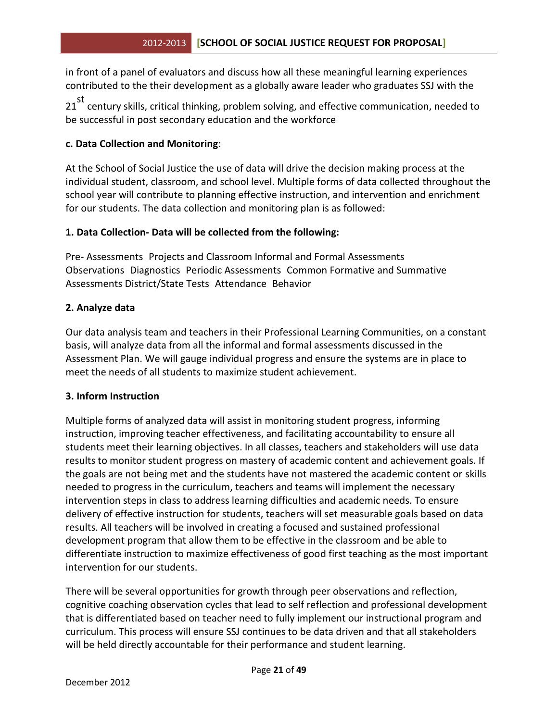in front of a panel of evaluators and discuss how all these meaningful learning experiences contributed to the their development as a globally aware leader who graduates SSJ with the

21 st century skills, critical thinking, problem solving, and effective communication, needed to be successful in post secondary education and the workforce

#### **c. Data Collection and Monitoring**:

At the School of Social Justice the use of data will drive the decision making process at the individual student, classroom, and school level. Multiple forms of data collected throughout the school year will contribute to planning effective instruction, and intervention and enrichment for our students. The data collection and monitoring plan is as followed:

#### **1. Data Collection- Data will be collected from the following:**

Pre- Assessments Projects and Classroom Informal and Formal Assessments Observations Diagnostics Periodic Assessments Common Formative and Summative Assessments District/State Tests Attendance Behavior

#### **2. Analyze data**

Our data analysis team and teachers in their Professional Learning Communities, on a constant basis, will analyze data from all the informal and formal assessments discussed in the Assessment Plan. We will gauge individual progress and ensure the systems are in place to meet the needs of all students to maximize student achievement.

#### **3. Inform Instruction**

Multiple forms of analyzed data will assist in monitoring student progress, informing instruction, improving teacher effectiveness, and facilitating accountability to ensure all students meet their learning objectives. In all classes, teachers and stakeholders will use data results to monitor student progress on mastery of academic content and achievement goals. If the goals are not being met and the students have not mastered the academic content or skills needed to progress in the curriculum, teachers and teams will implement the necessary intervention steps in class to address learning difficulties and academic needs. To ensure delivery of effective instruction for students, teachers will set measurable goals based on data results. All teachers will be involved in creating a focused and sustained professional development program that allow them to be effective in the classroom and be able to differentiate instruction to maximize effectiveness of good first teaching as the most important intervention for our students.

There will be several opportunities for growth through peer observations and reflection, cognitive coaching observation cycles that lead to self reflection and professional development that is differentiated based on teacher need to fully implement our instructional program and curriculum. This process will ensure SSJ continues to be data driven and that all stakeholders will be held directly accountable for their performance and student learning.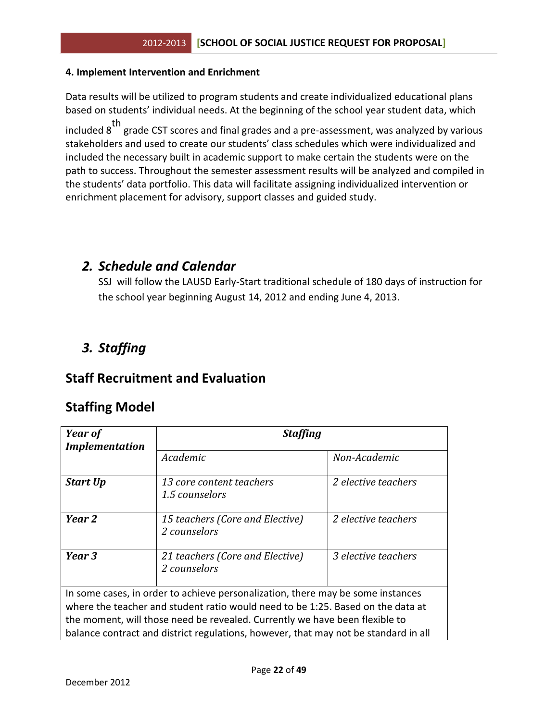#### **4. Implement Intervention and Enrichment**

Data results will be utilized to program students and create individualized educational plans based on students' individual needs. At the beginning of the school year student data, which included 8<sup>th</sup> grade CST scores and final grades and a pre-assessment, was analyzed by various stakeholders and used to create our students' class schedules which were individualized and included the necessary built in academic support to make certain the students were on the path to success. Throughout the semester assessment results will be analyzed and compiled in the students' data portfolio. This data will facilitate assigning individualized intervention or enrichment placement for advisory, support classes and guided study.

## *2. Schedule and Calendar*

SSJ will follow the LAUSD Early-Start traditional schedule of 180 days of instruction for the school year beginning August 14, 2012 and ending June 4, 2013.

## *3. Staffing*

## **Staff Recruitment and Evaluation**

## **Staffing Model**

| Year of<br><b>Implementation</b> | <b>Staffing</b>                                                                                                                                                                                                                                                                                                                          |                     |
|----------------------------------|------------------------------------------------------------------------------------------------------------------------------------------------------------------------------------------------------------------------------------------------------------------------------------------------------------------------------------------|---------------------|
|                                  | Academic                                                                                                                                                                                                                                                                                                                                 | Non-Academic        |
| <b>Start Up</b>                  | 13 core content teachers<br>1.5 counselors                                                                                                                                                                                                                                                                                               | 2 elective teachers |
| Year 2                           | 15 teachers (Core and Elective)<br>2 counselors                                                                                                                                                                                                                                                                                          | 2 elective teachers |
| Year 3                           | 21 teachers (Core and Elective)<br>2 counselors                                                                                                                                                                                                                                                                                          | 3 elective teachers |
|                                  | In some cases, in order to achieve personalization, there may be some instances<br>where the teacher and student ratio would need to be 1:25. Based on the data at<br>the moment, will those need be revealed. Currently we have been flexible to<br>balance contract and district regulations, however, that may not be standard in all |                     |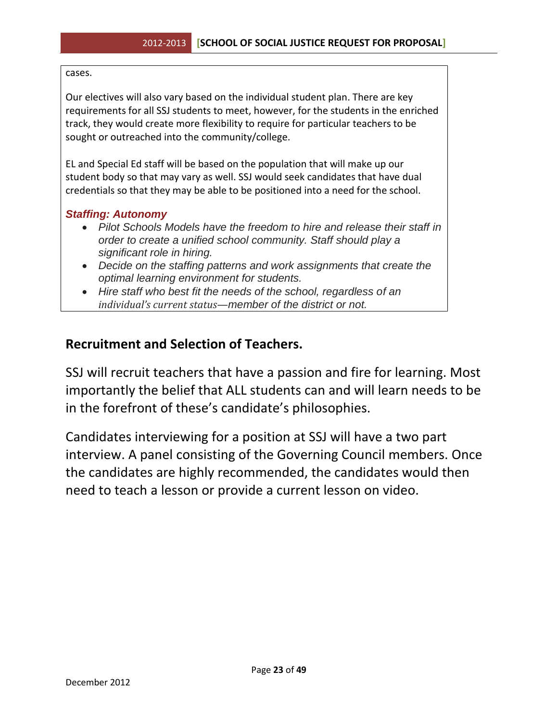cases.

Our electives will also vary based on the individual student plan. There are key requirements for all SSJ students to meet, however, for the students in the enriched track, they would create more flexibility to require for particular teachers to be sought or outreached into the community/college.

EL and Special Ed staff will be based on the population that will make up our student body so that may vary as well. SSJ would seek candidates that have dual credentials so that they may be able to be positioned into a need for the school.

#### *Staffing: Autonomy*

- *Pilot Schools Models have the freedom to hire and release their staff in order to create a unified school community. Staff should play a significant role in hiring.*
- *Decide on the staffing patterns and work assignments that create the optimal learning environment for students.*
- *Hire staff who best fit the needs of the school, regardless of an individual's current status—member of the district or not.*

## **Recruitment and Selection of Teachers.**

SSJ will recruit teachers that have a passion and fire for learning. Most importantly the belief that ALL students can and will learn needs to be in the forefront of these's candidate's philosophies.

Candidates interviewing for a position at SSJ will have a two part interview. A panel consisting of the Governing Council members. Once the candidates are highly recommended, the candidates would then need to teach a lesson or provide a current lesson on video.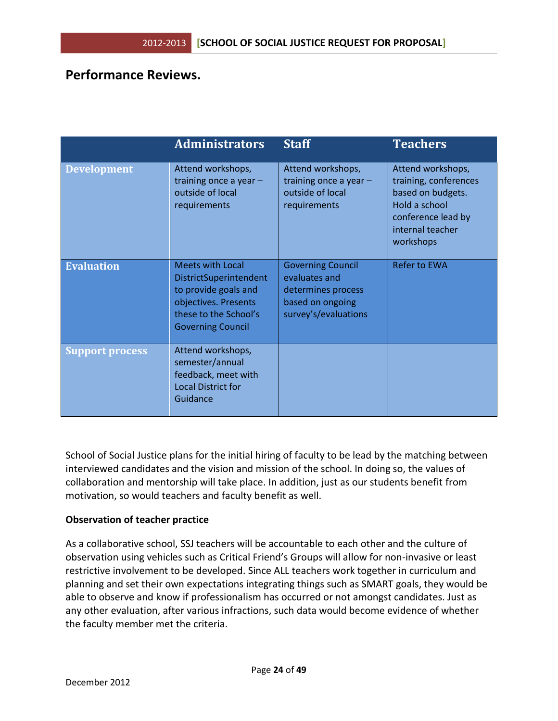## **Performance Reviews.**

|                        | <b>Administrators</b>                                                                                                                                  | <b>Staff</b>                                                                                                | <b>Teachers</b>                                                                                                                         |
|------------------------|--------------------------------------------------------------------------------------------------------------------------------------------------------|-------------------------------------------------------------------------------------------------------------|-----------------------------------------------------------------------------------------------------------------------------------------|
| <b>Development</b>     | Attend workshops,<br>training once a year -<br>outside of local<br>requirements                                                                        | Attend workshops,<br>training once a year $-$<br>outside of local<br>requirements                           | Attend workshops,<br>training, conferences<br>based on budgets.<br>Hold a school<br>conference lead by<br>internal teacher<br>workshops |
| <b>Evaluation</b>      | <b>Meets with Local</b><br>DistrictSuperintendent<br>to provide goals and<br>objectives. Presents<br>these to the School's<br><b>Governing Council</b> | <b>Governing Council</b><br>evaluates and<br>determines process<br>based on ongoing<br>survey's/evaluations | <b>Refer to EWA</b>                                                                                                                     |
| <b>Support process</b> | Attend workshops,<br>semester/annual<br>feedback, meet with<br><b>Local District for</b><br>Guidance                                                   |                                                                                                             |                                                                                                                                         |

School of Social Justice plans for the initial hiring of faculty to be lead by the matching between interviewed candidates and the vision and mission of the school. In doing so, the values of collaboration and mentorship will take place. In addition, just as our students benefit from motivation, so would teachers and faculty benefit as well.

#### **Observation of teacher practice**

As a collaborative school, SSJ teachers will be accountable to each other and the culture of observation using vehicles such as Critical Friend's Groups will allow for non-invasive or least restrictive involvement to be developed. Since ALL teachers work together in curriculum and planning and set their own expectations integrating things such as SMART goals, they would be able to observe and know if professionalism has occurred or not amongst candidates. Just as any other evaluation, after various infractions, such data would become evidence of whether the faculty member met the criteria.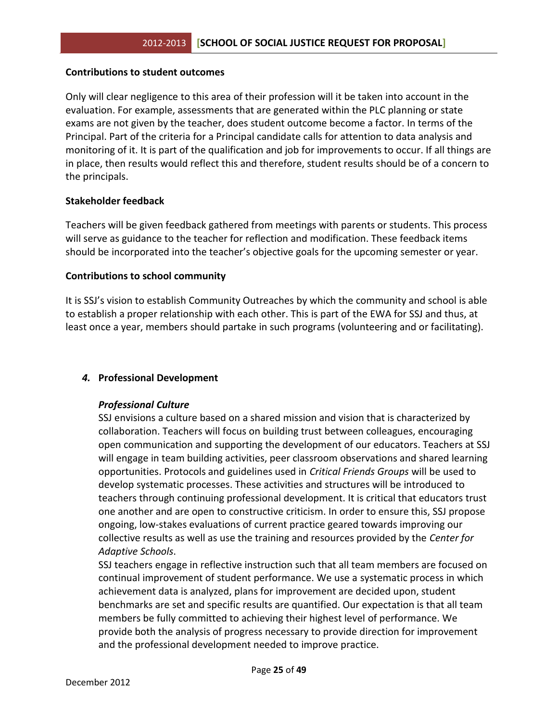#### **Contributions to student outcomes**

Only will clear negligence to this area of their profession will it be taken into account in the evaluation. For example, assessments that are generated within the PLC planning or state exams are not given by the teacher, does student outcome become a factor. In terms of the Principal. Part of the criteria for a Principal candidate calls for attention to data analysis and monitoring of it. It is part of the qualification and job for improvements to occur. If all things are in place, then results would reflect this and therefore, student results should be of a concern to the principals.

#### **Stakeholder feedback**

Teachers will be given feedback gathered from meetings with parents or students. This process will serve as guidance to the teacher for reflection and modification. These feedback items should be incorporated into the teacher's objective goals for the upcoming semester or year.

#### **Contributions to school community**

It is SSJ's vision to establish Community Outreaches by which the community and school is able to establish a proper relationship with each other. This is part of the EWA for SSJ and thus, at least once a year, members should partake in such programs (volunteering and or facilitating).

#### *4.* **Professional Development**

#### *Professional Culture*

SSJ envisions a culture based on a shared mission and vision that is characterized by collaboration. Teachers will focus on building trust between colleagues, encouraging open communication and supporting the development of our educators. Teachers at SSJ will engage in team building activities, peer classroom observations and shared learning opportunities. Protocols and guidelines used in *Critical Friends Groups* will be used to develop systematic processes. These activities and structures will be introduced to teachers through continuing professional development. It is critical that educators trust one another and are open to constructive criticism. In order to ensure this, SSJ propose ongoing, low-stakes evaluations of current practice geared towards improving our collective results as well as use the training and resources provided by the *Center for Adaptive Schools*.

SSJ teachers engage in reflective instruction such that all team members are focused on continual improvement of student performance. We use a systematic process in which achievement data is analyzed, plans for improvement are decided upon, student benchmarks are set and specific results are quantified. Our expectation is that all team members be fully committed to achieving their highest level of performance. We provide both the analysis of progress necessary to provide direction for improvement and the professional development needed to improve practice.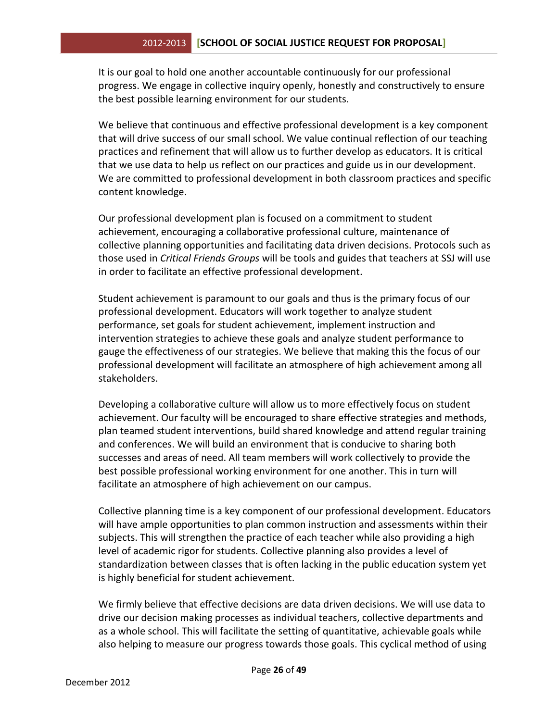It is our goal to hold one another accountable continuously for our professional progress. We engage in collective inquiry openly, honestly and constructively to ensure the best possible learning environment for our students.

We believe that continuous and effective professional development is a key component that will drive success of our small school. We value continual reflection of our teaching practices and refinement that will allow us to further develop as educators. It is critical that we use data to help us reflect on our practices and guide us in our development. We are committed to professional development in both classroom practices and specific content knowledge.

Our professional development plan is focused on a commitment to student achievement, encouraging a collaborative professional culture, maintenance of collective planning opportunities and facilitating data driven decisions. Protocols such as those used in *Critical Friends Groups* will be tools and guides that teachers at SSJ will use in order to facilitate an effective professional development.

Student achievement is paramount to our goals and thus is the primary focus of our professional development. Educators will work together to analyze student performance, set goals for student achievement, implement instruction and intervention strategies to achieve these goals and analyze student performance to gauge the effectiveness of our strategies. We believe that making this the focus of our professional development will facilitate an atmosphere of high achievement among all stakeholders.

Developing a collaborative culture will allow us to more effectively focus on student achievement. Our faculty will be encouraged to share effective strategies and methods, plan teamed student interventions, build shared knowledge and attend regular training and conferences. We will build an environment that is conducive to sharing both successes and areas of need. All team members will work collectively to provide the best possible professional working environment for one another. This in turn will facilitate an atmosphere of high achievement on our campus.

Collective planning time is a key component of our professional development. Educators will have ample opportunities to plan common instruction and assessments within their subjects. This will strengthen the practice of each teacher while also providing a high level of academic rigor for students. Collective planning also provides a level of standardization between classes that is often lacking in the public education system yet is highly beneficial for student achievement.

We firmly believe that effective decisions are data driven decisions. We will use data to drive our decision making processes as individual teachers, collective departments and as a whole school. This will facilitate the setting of quantitative, achievable goals while also helping to measure our progress towards those goals. This cyclical method of using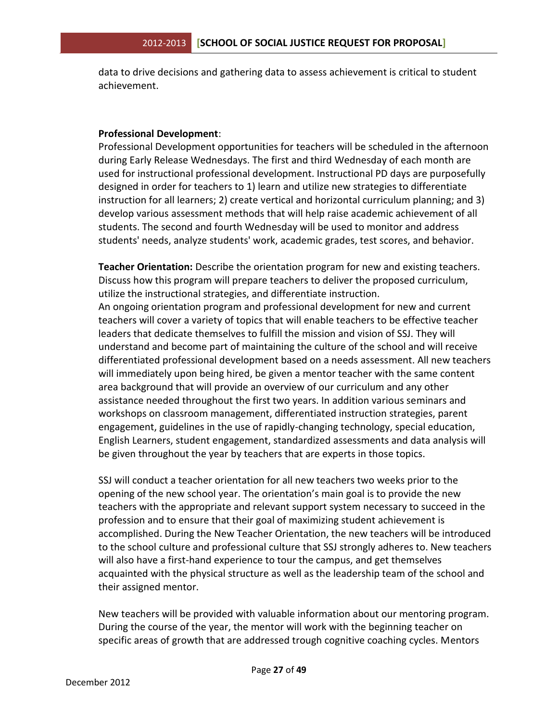data to drive decisions and gathering data to assess achievement is critical to student achievement.

#### **Professional Development**:

Professional Development opportunities for teachers will be scheduled in the afternoon during Early Release Wednesdays. The first and third Wednesday of each month are used for instructional professional development. Instructional PD days are purposefully designed in order for teachers to 1) learn and utilize new strategies to differentiate instruction for all learners; 2) create vertical and horizontal curriculum planning; and 3) develop various assessment methods that will help raise academic achievement of all students. The second and fourth Wednesday will be used to monitor and address students' needs, analyze students' work, academic grades, test scores, and behavior.

**Teacher Orientation:** Describe the orientation program for new and existing teachers. Discuss how this program will prepare teachers to deliver the proposed curriculum, utilize the instructional strategies, and differentiate instruction.

An ongoing orientation program and professional development for new and current teachers will cover a variety of topics that will enable teachers to be effective teacher leaders that dedicate themselves to fulfill the mission and vision of SSJ. They will understand and become part of maintaining the culture of the school and will receive differentiated professional development based on a needs assessment. All new teachers will immediately upon being hired, be given a mentor teacher with the same content area background that will provide an overview of our curriculum and any other assistance needed throughout the first two years. In addition various seminars and workshops on classroom management, differentiated instruction strategies, parent engagement, guidelines in the use of rapidly-changing technology, special education, English Learners, student engagement, standardized assessments and data analysis will be given throughout the year by teachers that are experts in those topics.

SSJ will conduct a teacher orientation for all new teachers two weeks prior to the opening of the new school year. The orientation's main goal is to provide the new teachers with the appropriate and relevant support system necessary to succeed in the profession and to ensure that their goal of maximizing student achievement is accomplished. During the New Teacher Orientation, the new teachers will be introduced to the school culture and professional culture that SSJ strongly adheres to. New teachers will also have a first-hand experience to tour the campus, and get themselves acquainted with the physical structure as well as the leadership team of the school and their assigned mentor.

New teachers will be provided with valuable information about our mentoring program. During the course of the year, the mentor will work with the beginning teacher on specific areas of growth that are addressed trough cognitive coaching cycles. Mentors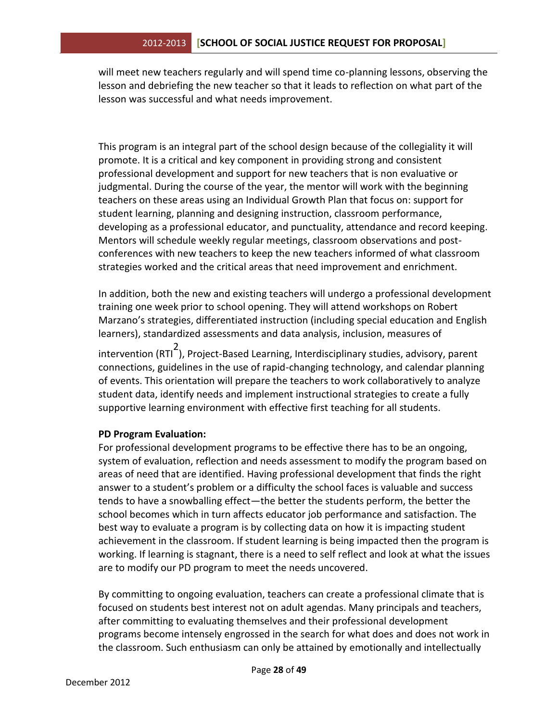will meet new teachers regularly and will spend time co-planning lessons, observing the lesson and debriefing the new teacher so that it leads to reflection on what part of the lesson was successful and what needs improvement.

This program is an integral part of the school design because of the collegiality it will promote. It is a critical and key component in providing strong and consistent professional development and support for new teachers that is non evaluative or judgmental. During the course of the year, the mentor will work with the beginning teachers on these areas using an Individual Growth Plan that focus on: support for student learning, planning and designing instruction, classroom performance, developing as a professional educator, and punctuality, attendance and record keeping. Mentors will schedule weekly regular meetings, classroom observations and postconferences with new teachers to keep the new teachers informed of what classroom strategies worked and the critical areas that need improvement and enrichment.

In addition, both the new and existing teachers will undergo a professional development training one week prior to school opening. They will attend workshops on Robert Marzano's strategies, differentiated instruction (including special education and English learners), standardized assessments and data analysis, inclusion, measures of

intervention (RTI<sup>2</sup> ), Project-Based Learning, Interdisciplinary studies, advisory, parent connections, guidelines in the use of rapid-changing technology, and calendar planning of events. This orientation will prepare the teachers to work collaboratively to analyze student data, identify needs and implement instructional strategies to create a fully supportive learning environment with effective first teaching for all students.

#### **PD Program Evaluation:**

For professional development programs to be effective there has to be an ongoing, system of evaluation, reflection and needs assessment to modify the program based on areas of need that are identified. Having professional development that finds the right answer to a student's problem or a difficulty the school faces is valuable and success tends to have a snowballing effect—the better the students perform, the better the school becomes which in turn affects educator job performance and satisfaction. The best way to evaluate a program is by collecting data on how it is impacting student achievement in the classroom. If student learning is being impacted then the program is working. If learning is stagnant, there is a need to self reflect and look at what the issues are to modify our PD program to meet the needs uncovered.

By committing to ongoing evaluation, teachers can create a professional climate that is focused on students best interest not on adult agendas. Many principals and teachers, after committing to evaluating themselves and their professional development programs become intensely engrossed in the search for what does and does not work in the classroom. Such enthusiasm can only be attained by emotionally and intellectually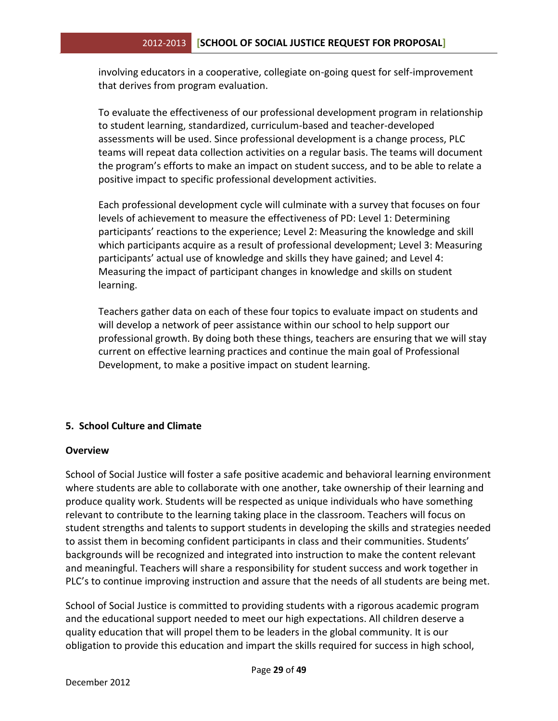involving educators in a cooperative, collegiate on-going quest for self-improvement that derives from program evaluation.

To evaluate the effectiveness of our professional development program in relationship to student learning, standardized, curriculum-based and teacher-developed assessments will be used. Since professional development is a change process, PLC teams will repeat data collection activities on a regular basis. The teams will document the program's efforts to make an impact on student success, and to be able to relate a positive impact to specific professional development activities.

Each professional development cycle will culminate with a survey that focuses on four levels of achievement to measure the effectiveness of PD: Level 1: Determining participants' reactions to the experience; Level 2: Measuring the knowledge and skill which participants acquire as a result of professional development; Level 3: Measuring participants' actual use of knowledge and skills they have gained; and Level 4: Measuring the impact of participant changes in knowledge and skills on student learning.

Teachers gather data on each of these four topics to evaluate impact on students and will develop a network of peer assistance within our school to help support our professional growth. By doing both these things, teachers are ensuring that we will stay current on effective learning practices and continue the main goal of Professional Development, to make a positive impact on student learning.

## **5. School Culture and Climate**

#### **Overview**

School of Social Justice will foster a safe positive academic and behavioral learning environment where students are able to collaborate with one another, take ownership of their learning and produce quality work. Students will be respected as unique individuals who have something relevant to contribute to the learning taking place in the classroom. Teachers will focus on student strengths and talents to support students in developing the skills and strategies needed to assist them in becoming confident participants in class and their communities. Students' backgrounds will be recognized and integrated into instruction to make the content relevant and meaningful. Teachers will share a responsibility for student success and work together in PLC's to continue improving instruction and assure that the needs of all students are being met.

School of Social Justice is committed to providing students with a rigorous academic program and the educational support needed to meet our high expectations. All children deserve a quality education that will propel them to be leaders in the global community. It is our obligation to provide this education and impart the skills required for success in high school,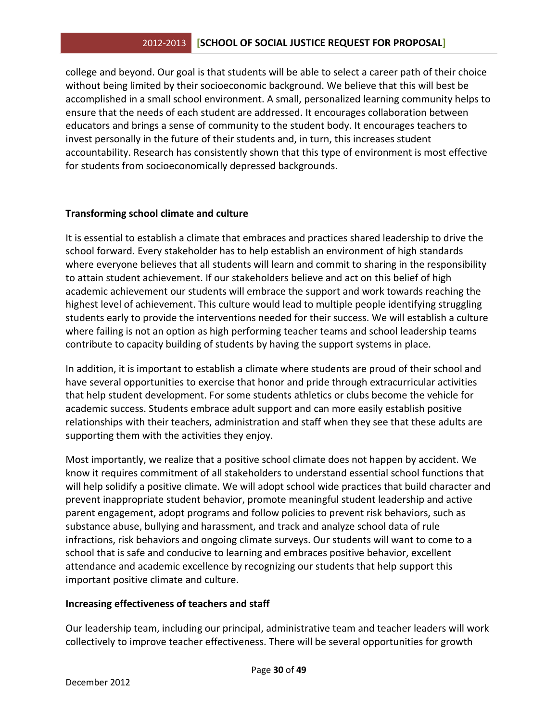college and beyond. Our goal is that students will be able to select a career path of their choice without being limited by their socioeconomic background. We believe that this will best be accomplished in a small school environment. A small, personalized learning community helps to ensure that the needs of each student are addressed. It encourages collaboration between educators and brings a sense of community to the student body. It encourages teachers to invest personally in the future of their students and, in turn, this increases student accountability. Research has consistently shown that this type of environment is most effective for students from socioeconomically depressed backgrounds.

#### **Transforming school climate and culture**

It is essential to establish a climate that embraces and practices shared leadership to drive the school forward. Every stakeholder has to help establish an environment of high standards where everyone believes that all students will learn and commit to sharing in the responsibility to attain student achievement. If our stakeholders believe and act on this belief of high academic achievement our students will embrace the support and work towards reaching the highest level of achievement. This culture would lead to multiple people identifying struggling students early to provide the interventions needed for their success. We will establish a culture where failing is not an option as high performing teacher teams and school leadership teams contribute to capacity building of students by having the support systems in place.

In addition, it is important to establish a climate where students are proud of their school and have several opportunities to exercise that honor and pride through extracurricular activities that help student development. For some students athletics or clubs become the vehicle for academic success. Students embrace adult support and can more easily establish positive relationships with their teachers, administration and staff when they see that these adults are supporting them with the activities they enjoy.

Most importantly, we realize that a positive school climate does not happen by accident. We know it requires commitment of all stakeholders to understand essential school functions that will help solidify a positive climate. We will adopt school wide practices that build character and prevent inappropriate student behavior, promote meaningful student leadership and active parent engagement, adopt programs and follow policies to prevent risk behaviors, such as substance abuse, bullying and harassment, and track and analyze school data of rule infractions, risk behaviors and ongoing climate surveys. Our students will want to come to a school that is safe and conducive to learning and embraces positive behavior, excellent attendance and academic excellence by recognizing our students that help support this important positive climate and culture.

#### **Increasing effectiveness of teachers and staff**

Our leadership team, including our principal, administrative team and teacher leaders will work collectively to improve teacher effectiveness. There will be several opportunities for growth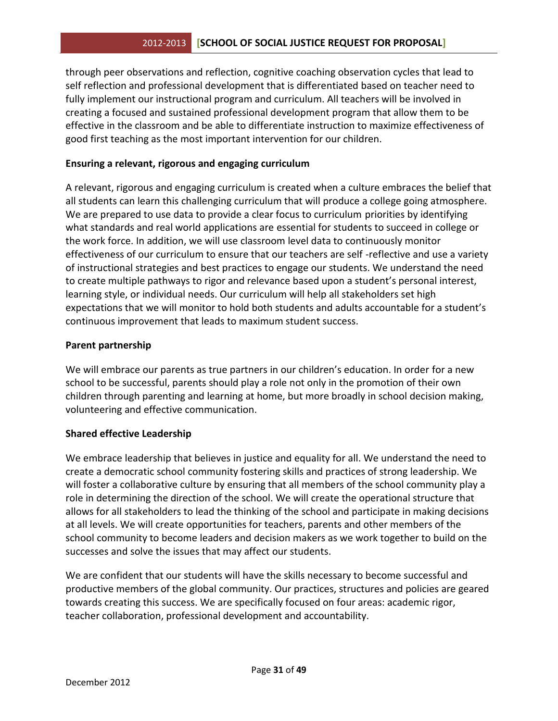through peer observations and reflection, cognitive coaching observation cycles that lead to self reflection and professional development that is differentiated based on teacher need to fully implement our instructional program and curriculum. All teachers will be involved in creating a focused and sustained professional development program that allow them to be effective in the classroom and be able to differentiate instruction to maximize effectiveness of good first teaching as the most important intervention for our children.

#### **Ensuring a relevant, rigorous and engaging curriculum**

A relevant, rigorous and engaging curriculum is created when a culture embraces the belief that all students can learn this challenging curriculum that will produce a college going atmosphere. We are prepared to use data to provide a clear focus to curriculum priorities by identifying what standards and real world applications are essential for students to succeed in college or the work force. In addition, we will use classroom level data to continuously monitor effectiveness of our curriculum to ensure that our teachers are self -reflective and use a variety of instructional strategies and best practices to engage our students. We understand the need to create multiple pathways to rigor and relevance based upon a student's personal interest, learning style, or individual needs. Our curriculum will help all stakeholders set high expectations that we will monitor to hold both students and adults accountable for a student's continuous improvement that leads to maximum student success.

#### **Parent partnership**

We will embrace our parents as true partners in our children's education. In order for a new school to be successful, parents should play a role not only in the promotion of their own children through parenting and learning at home, but more broadly in school decision making, volunteering and effective communication.

#### **Shared effective Leadership**

We embrace leadership that believes in justice and equality for all. We understand the need to create a democratic school community fostering skills and practices of strong leadership. We will foster a collaborative culture by ensuring that all members of the school community play a role in determining the direction of the school. We will create the operational structure that allows for all stakeholders to lead the thinking of the school and participate in making decisions at all levels. We will create opportunities for teachers, parents and other members of the school community to become leaders and decision makers as we work together to build on the successes and solve the issues that may affect our students.

We are confident that our students will have the skills necessary to become successful and productive members of the global community. Our practices, structures and policies are geared towards creating this success. We are specifically focused on four areas: academic rigor, teacher collaboration, professional development and accountability.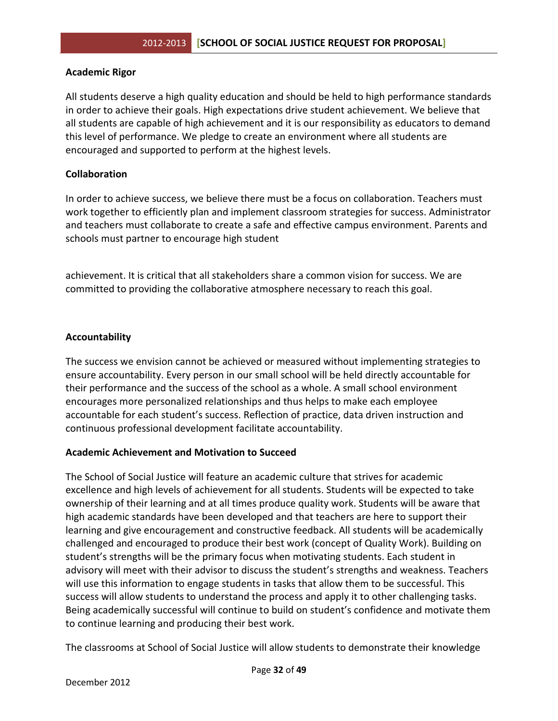#### **Academic Rigor**

All students deserve a high quality education and should be held to high performance standards in order to achieve their goals. High expectations drive student achievement. We believe that all students are capable of high achievement and it is our responsibility as educators to demand this level of performance. We pledge to create an environment where all students are encouraged and supported to perform at the highest levels.

#### **Collaboration**

In order to achieve success, we believe there must be a focus on collaboration. Teachers must work together to efficiently plan and implement classroom strategies for success. Administrator and teachers must collaborate to create a safe and effective campus environment. Parents and schools must partner to encourage high student

achievement. It is critical that all stakeholders share a common vision for success. We are committed to providing the collaborative atmosphere necessary to reach this goal.

#### **Accountability**

The success we envision cannot be achieved or measured without implementing strategies to ensure accountability. Every person in our small school will be held directly accountable for their performance and the success of the school as a whole. A small school environment encourages more personalized relationships and thus helps to make each employee accountable for each student's success. Reflection of practice, data driven instruction and continuous professional development facilitate accountability.

#### **Academic Achievement and Motivation to Succeed**

The School of Social Justice will feature an academic culture that strives for academic excellence and high levels of achievement for all students. Students will be expected to take ownership of their learning and at all times produce quality work. Students will be aware that high academic standards have been developed and that teachers are here to support their learning and give encouragement and constructive feedback. All students will be academically challenged and encouraged to produce their best work (concept of Quality Work). Building on student's strengths will be the primary focus when motivating students. Each student in advisory will meet with their advisor to discuss the student's strengths and weakness. Teachers will use this information to engage students in tasks that allow them to be successful. This success will allow students to understand the process and apply it to other challenging tasks. Being academically successful will continue to build on student's confidence and motivate them to continue learning and producing their best work.

The classrooms at School of Social Justice will allow students to demonstrate their knowledge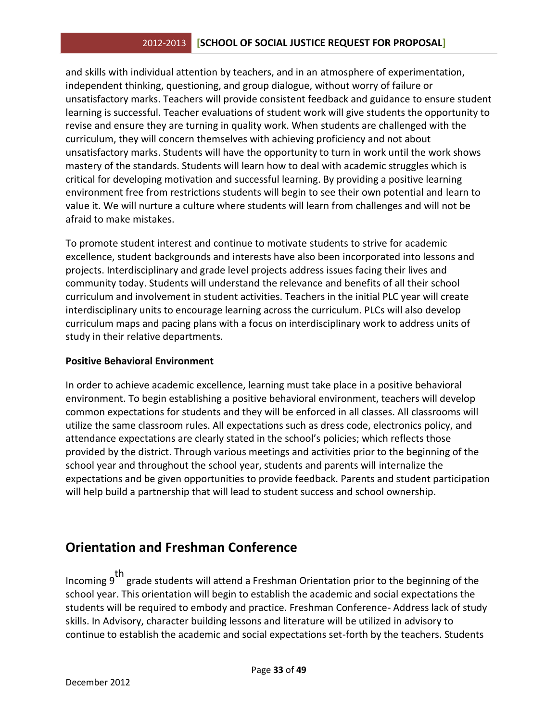#### 2012-2013 **[SCHOOL OF SOCIAL JUSTICE REQUEST FOR PROPOSAL]**

and skills with individual attention by teachers, and in an atmosphere of experimentation, independent thinking, questioning, and group dialogue, without worry of failure or unsatisfactory marks. Teachers will provide consistent feedback and guidance to ensure student learning is successful. Teacher evaluations of student work will give students the opportunity to revise and ensure they are turning in quality work. When students are challenged with the curriculum, they will concern themselves with achieving proficiency and not about unsatisfactory marks. Students will have the opportunity to turn in work until the work shows mastery of the standards. Students will learn how to deal with academic struggles which is critical for developing motivation and successful learning. By providing a positive learning environment free from restrictions students will begin to see their own potential and learn to value it. We will nurture a culture where students will learn from challenges and will not be afraid to make mistakes.

To promote student interest and continue to motivate students to strive for academic excellence, student backgrounds and interests have also been incorporated into lessons and projects. Interdisciplinary and grade level projects address issues facing their lives and community today. Students will understand the relevance and benefits of all their school curriculum and involvement in student activities. Teachers in the initial PLC year will create interdisciplinary units to encourage learning across the curriculum. PLCs will also develop curriculum maps and pacing plans with a focus on interdisciplinary work to address units of study in their relative departments.

#### **Positive Behavioral Environment**

In order to achieve academic excellence, learning must take place in a positive behavioral environment. To begin establishing a positive behavioral environment, teachers will develop common expectations for students and they will be enforced in all classes. All classrooms will utilize the same classroom rules. All expectations such as dress code, electronics policy, and attendance expectations are clearly stated in the school's policies; which reflects those provided by the district. Through various meetings and activities prior to the beginning of the school year and throughout the school year, students and parents will internalize the expectations and be given opportunities to provide feedback. Parents and student participation will help build a partnership that will lead to student success and school ownership.

## **Orientation and Freshman Conference**

Incoming 9 th grade students will attend a Freshman Orientation prior to the beginning of the school year. This orientation will begin to establish the academic and social expectations the students will be required to embody and practice. Freshman Conference- Address lack of study skills. In Advisory, character building lessons and literature will be utilized in advisory to continue to establish the academic and social expectations set-forth by the teachers. Students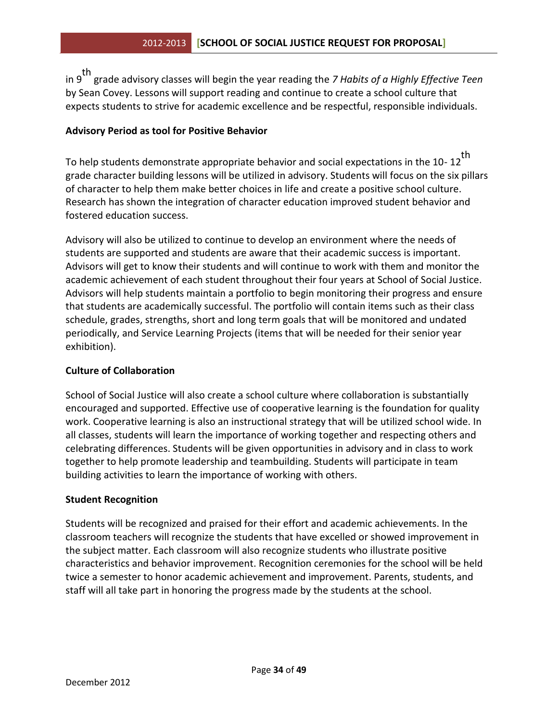in 9 th grade advisory classes will begin the year reading the *7 Habits of a Highly Effective Teen*  by Sean Covey. Lessons will support reading and continue to create a school culture that expects students to strive for academic excellence and be respectful, responsible individuals.

#### **Advisory Period as tool for Positive Behavior**

To help students demonstrate appropriate behavior and social expectations in the 10- 12 th grade character building lessons will be utilized in advisory. Students will focus on the six pillars of character to help them make better choices in life and create a positive school culture. Research has shown the integration of character education improved student behavior and fostered education success.

Advisory will also be utilized to continue to develop an environment where the needs of students are supported and students are aware that their academic success is important. Advisors will get to know their students and will continue to work with them and monitor the academic achievement of each student throughout their four years at School of Social Justice. Advisors will help students maintain a portfolio to begin monitoring their progress and ensure that students are academically successful. The portfolio will contain items such as their class schedule, grades, strengths, short and long term goals that will be monitored and undated periodically, and Service Learning Projects (items that will be needed for their senior year exhibition).

#### **Culture of Collaboration**

School of Social Justice will also create a school culture where collaboration is substantially encouraged and supported. Effective use of cooperative learning is the foundation for quality work. Cooperative learning is also an instructional strategy that will be utilized school wide. In all classes, students will learn the importance of working together and respecting others and celebrating differences. Students will be given opportunities in advisory and in class to work together to help promote leadership and teambuilding. Students will participate in team building activities to learn the importance of working with others.

#### **Student Recognition**

Students will be recognized and praised for their effort and academic achievements. In the classroom teachers will recognize the students that have excelled or showed improvement in the subject matter. Each classroom will also recognize students who illustrate positive characteristics and behavior improvement. Recognition ceremonies for the school will be held twice a semester to honor academic achievement and improvement. Parents, students, and staff will all take part in honoring the progress made by the students at the school.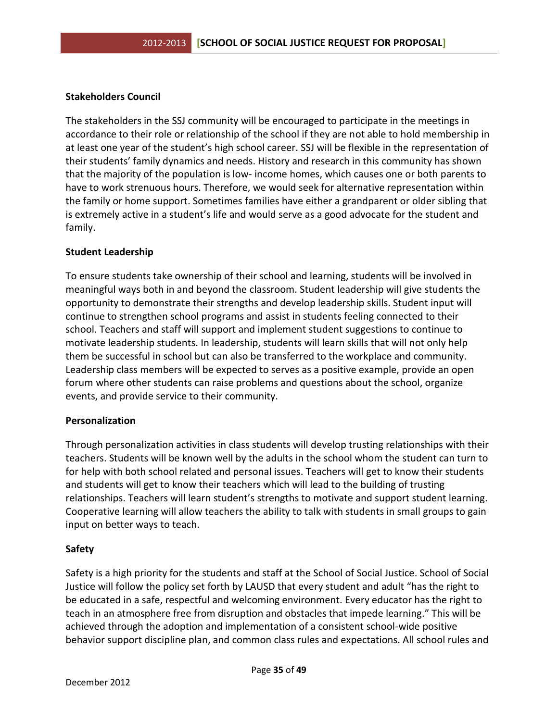#### **Stakeholders Council**

The stakeholders in the SSJ community will be encouraged to participate in the meetings in accordance to their role or relationship of the school if they are not able to hold membership in at least one year of the student's high school career. SSJ will be flexible in the representation of their students' family dynamics and needs. History and research in this community has shown that the majority of the population is low- income homes, which causes one or both parents to have to work strenuous hours. Therefore, we would seek for alternative representation within the family or home support. Sometimes families have either a grandparent or older sibling that is extremely active in a student's life and would serve as a good advocate for the student and family.

#### **Student Leadership**

To ensure students take ownership of their school and learning, students will be involved in meaningful ways both in and beyond the classroom. Student leadership will give students the opportunity to demonstrate their strengths and develop leadership skills. Student input will continue to strengthen school programs and assist in students feeling connected to their school. Teachers and staff will support and implement student suggestions to continue to motivate leadership students. In leadership, students will learn skills that will not only help them be successful in school but can also be transferred to the workplace and community. Leadership class members will be expected to serves as a positive example, provide an open forum where other students can raise problems and questions about the school, organize events, and provide service to their community.

#### **Personalization**

Through personalization activities in class students will develop trusting relationships with their teachers. Students will be known well by the adults in the school whom the student can turn to for help with both school related and personal issues. Teachers will get to know their students and students will get to know their teachers which will lead to the building of trusting relationships. Teachers will learn student's strengths to motivate and support student learning. Cooperative learning will allow teachers the ability to talk with students in small groups to gain input on better ways to teach.

#### **Safety**

Safety is a high priority for the students and staff at the School of Social Justice. School of Social Justice will follow the policy set forth by LAUSD that every student and adult "has the right to be educated in a safe, respectful and welcoming environment. Every educator has the right to teach in an atmosphere free from disruption and obstacles that impede learning." This will be achieved through the adoption and implementation of a consistent school-wide positive behavior support discipline plan, and common class rules and expectations. All school rules and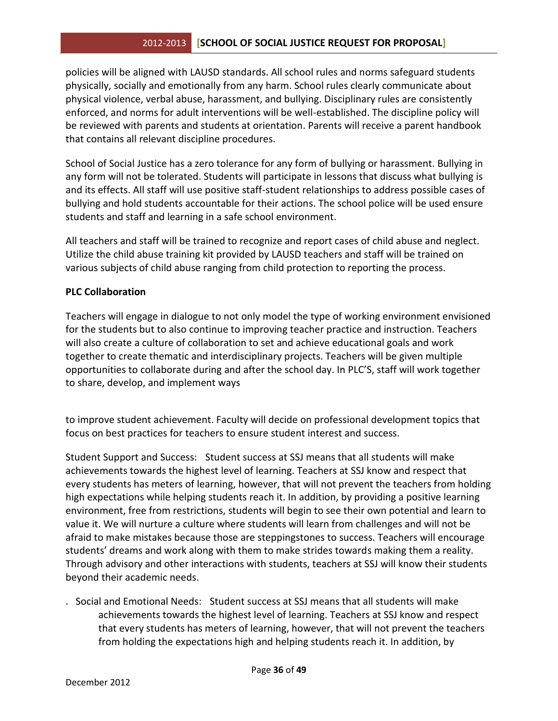#### 2012-2013 **[SCHOOL OF SOCIAL JUSTICE REQUEST FOR PROPOSAL]**

policies will be aligned with LAUSD standards. All school rules and norms safeguard students physically, socially and emotionally from any harm. School rules clearly communicate about physical violence, verbal abuse, harassment, and bullying. Disciplinary rules are consistently enforced, and norms for adult interventions will be well-established. The discipline policy will be reviewed with parents and students at orientation. Parents will receive a parent handbook that contains all relevant discipline procedures.

School of Social Justice has a zero tolerance for any form of bullying or harassment. Bullying in any form will not be tolerated. Students will participate in lessons that discuss what bullying is and its effects. All staff will use positive staff-student relationships to address possible cases of bullying and hold students accountable for their actions. The school police will be used ensure students and staff and learning in a safe school environment.

All teachers and staff will be trained to recognize and report cases of child abuse and neglect. Utilize the child abuse training kit provided by LAUSD teachers and staff will be trained on various subjects of child abuse ranging from child protection to reporting the process.

#### **PLC Collaboration**

Teachers will engage in dialogue to not only model the type of working environment envisioned for the students but to also continue to improving teacher practice and instruction. Teachers will also create a culture of collaboration to set and achieve educational goals and work together to create thematic and interdisciplinary projects. Teachers will be given multiple opportunities to collaborate during and after the school day. In PLC'S, staff will work together to share, develop, and implement ways

to improve student achievement. Faculty will decide on professional development topics that focus on best practices for teachers to ensure student interest and success.

Student Support and Success: Student success at SSJ means that all students will make achievements towards the highest level of learning. Teachers at SSJ know and respect that every students has meters of learning, however, that will not prevent the teachers from holding high expectations while helping students reach it. In addition, by providing a positive learning environment, free from restrictions, students will begin to see their own potential and learn to value it. We will nurture a culture where students will learn from challenges and will not be afraid to make mistakes because those are steppingstones to success. Teachers will encourage students' dreams and work along with them to make strides towards making them a reality. Through advisory and other interactions with students, teachers at SSJ will know their students beyond their academic needs.

. Social and Emotional Needs: Student success at SSJ means that all students will make achievements towards the highest level of learning. Teachers at SSJ know and respect that every students has meters of learning, however, that will not prevent the teachers from holding the expectations high and helping students reach it. In addition, by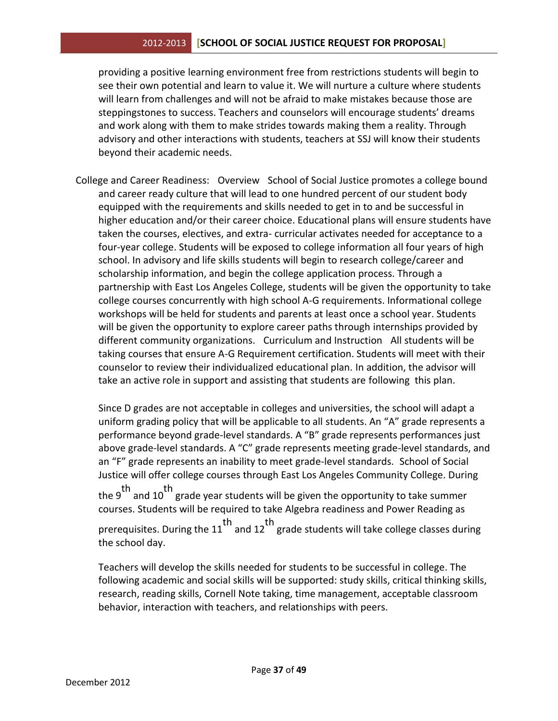#### 2012-2013 **[SCHOOL OF SOCIAL JUSTICE REQUEST FOR PROPOSAL]**

providing a positive learning environment free from restrictions students will begin to see their own potential and learn to value it. We will nurture a culture where students will learn from challenges and will not be afraid to make mistakes because those are steppingstones to success. Teachers and counselors will encourage students' dreams and work along with them to make strides towards making them a reality. Through advisory and other interactions with students, teachers at SSJ will know their students beyond their academic needs.

College and Career Readiness: Overview School of Social Justice promotes a college bound and career ready culture that will lead to one hundred percent of our student body equipped with the requirements and skills needed to get in to and be successful in higher education and/or their career choice. Educational plans will ensure students have taken the courses, electives, and extra- curricular activates needed for acceptance to a four-year college. Students will be exposed to college information all four years of high school. In advisory and life skills students will begin to research college/career and scholarship information, and begin the college application process. Through a partnership with East Los Angeles College, students will be given the opportunity to take college courses concurrently with high school A-G requirements. Informational college workshops will be held for students and parents at least once a school year. Students will be given the opportunity to explore career paths through internships provided by different community organizations. Curriculum and Instruction All students will be taking courses that ensure A-G Requirement certification. Students will meet with their counselor to review their individualized educational plan. In addition, the advisor will take an active role in support and assisting that students are following this plan.

Since D grades are not acceptable in colleges and universities, the school will adapt a uniform grading policy that will be applicable to all students. An "A" grade represents a performance beyond grade-level standards. A "B" grade represents performances just above grade-level standards. A "C" grade represents meeting grade-level standards, and an "F" grade represents an inability to meet grade-level standards. School of Social Justice will offer college courses through East Los Angeles Community College. During the 9<sup>th</sup> and 10<sup>th</sup> grade year students will be given the opportunity to take summer courses. Students will be required to take Algebra readiness and Power Reading as prerequisites. During the  $11<sup>th</sup>$  and  $12<sup>th</sup>$  grade students will take college classes during the school day.

Teachers will develop the skills needed for students to be successful in college. The following academic and social skills will be supported: study skills, critical thinking skills, research, reading skills, Cornell Note taking, time management, acceptable classroom behavior, interaction with teachers, and relationships with peers.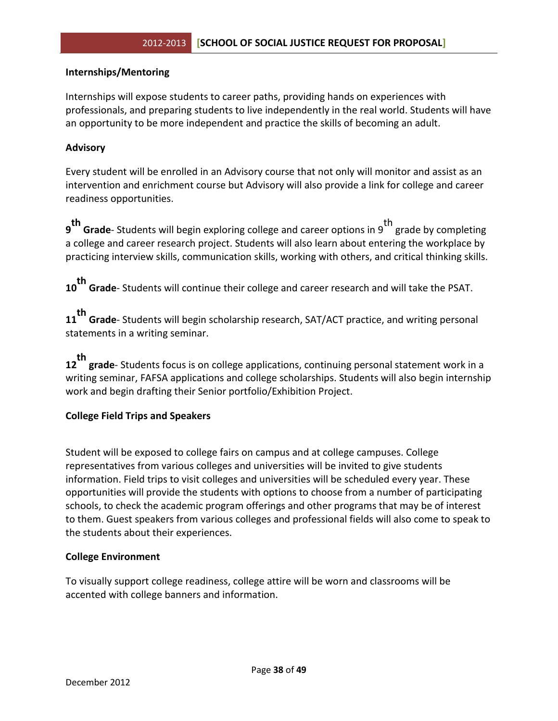#### **Internships/Mentoring**

Internships will expose students to career paths, providing hands on experiences with professionals, and preparing students to live independently in the real world. Students will have an opportunity to be more independent and practice the skills of becoming an adult.

#### **Advisory**

Every student will be enrolled in an Advisory course that not only will monitor and assist as an intervention and enrichment course but Advisory will also provide a link for college and career readiness opportunities.

**th Grade**- Students will begin exploring college and career options in 9<sup>th</sup> grade by completing a college and career research project. Students will also learn about entering the workplace by practicing interview skills, communication skills, working with others, and critical thinking skills.

**10 th Grade**- Students will continue their college and career research and will take the PSAT.

**11 th Grade**- Students will begin scholarship research, SAT/ACT practice, and writing personal statements in a writing seminar.

**12 th grade**- Students focus is on college applications, continuing personal statement work in a writing seminar, FAFSA applications and college scholarships. Students will also begin internship work and begin drafting their Senior portfolio/Exhibition Project.

#### **College Field Trips and Speakers**

Student will be exposed to college fairs on campus and at college campuses. College representatives from various colleges and universities will be invited to give students information. Field trips to visit colleges and universities will be scheduled every year. These opportunities will provide the students with options to choose from a number of participating schools, to check the academic program offerings and other programs that may be of interest to them. Guest speakers from various colleges and professional fields will also come to speak to the students about their experiences.

#### **College Environment**

To visually support college readiness, college attire will be worn and classrooms will be accented with college banners and information.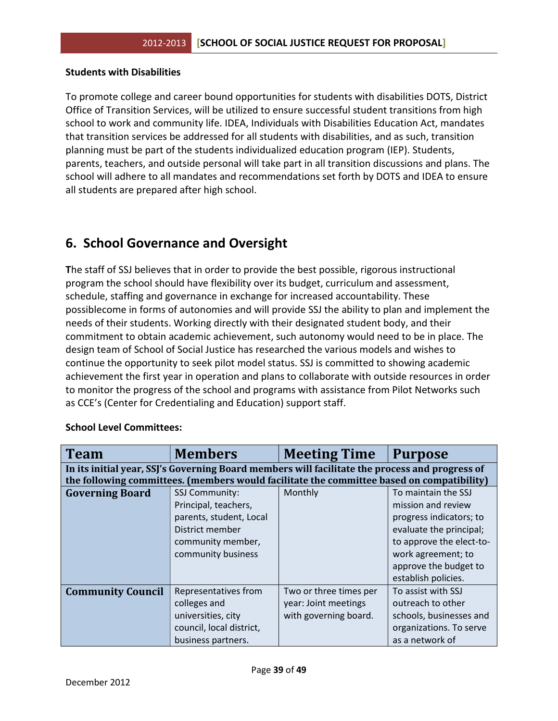#### **Students with Disabilities**

To promote college and career bound opportunities for students with disabilities DOTS, District Office of Transition Services, will be utilized to ensure successful student transitions from high school to work and community life. IDEA, Individuals with Disabilities Education Act, mandates that transition services be addressed for all students with disabilities, and as such, transition planning must be part of the students individualized education program (IEP). Students, parents, teachers, and outside personal will take part in all transition discussions and plans. The school will adhere to all mandates and recommendations set forth by DOTS and IDEA to ensure all students are prepared after high school.

## **6. School Governance and Oversight**

**T**he staff of SSJ believes that in order to provide the best possible, rigorous instructional program the school should have flexibility over its budget, curriculum and assessment, schedule, staffing and governance in exchange for increased accountability. These possiblecome in forms of autonomies and will provide SSJ the ability to plan and implement the needs of their students. Working directly with their designated student body, and their commitment to obtain academic achievement, such autonomy would need to be in place. The design team of School of Social Justice has researched the various models and wishes to continue the opportunity to seek pilot model status. SSJ is committed to showing academic achievement the first year in operation and plans to collaborate with outside resources in order to monitor the progress of the school and programs with assistance from Pilot Networks such as CCE's (Center for Credentialing and Education) support staff.

| <b>Team</b>              | <b>Members</b>                                                                                 | <b>Meeting Time</b>    | <b>Purpose</b>           |
|--------------------------|------------------------------------------------------------------------------------------------|------------------------|--------------------------|
|                          | In its initial year, SSJ's Governing Board members will facilitate the process and progress of |                        |                          |
|                          | the following committees. (members would facilitate the committee based on compatibility)      |                        |                          |
| <b>Governing Board</b>   | <b>SSJ Community:</b>                                                                          | Monthly                | To maintain the SSJ      |
|                          | Principal, teachers,                                                                           |                        | mission and review       |
|                          | parents, student, Local                                                                        |                        | progress indicators; to  |
|                          | District member                                                                                |                        | evaluate the principal;  |
|                          | community member,                                                                              |                        | to approve the elect-to- |
|                          | community business                                                                             |                        | work agreement; to       |
|                          |                                                                                                |                        | approve the budget to    |
|                          |                                                                                                |                        | establish policies.      |
| <b>Community Council</b> | Representatives from                                                                           | Two or three times per | To assist with SSJ       |
|                          | colleges and                                                                                   | year: Joint meetings   | outreach to other        |
|                          | universities, city                                                                             | with governing board.  | schools, businesses and  |
|                          | council, local district,                                                                       |                        | organizations. To serve  |
|                          | business partners.                                                                             |                        | as a network of          |

#### **School Level Committees:**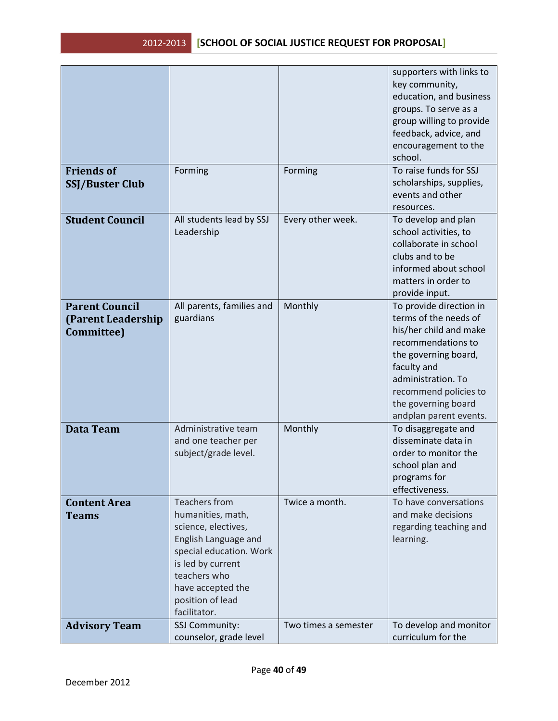|                        |                           |                      | supporters with links to                    |
|------------------------|---------------------------|----------------------|---------------------------------------------|
|                        |                           |                      | key community,                              |
|                        |                           |                      | education, and business                     |
|                        |                           |                      | groups. To serve as a                       |
|                        |                           |                      | group willing to provide                    |
|                        |                           |                      |                                             |
|                        |                           |                      | feedback, advice, and                       |
|                        |                           |                      | encouragement to the                        |
|                        |                           |                      | school.                                     |
| <b>Friends of</b>      | Forming                   | Forming              | To raise funds for SSJ                      |
| <b>SSJ/Buster Club</b> |                           |                      | scholarships, supplies,                     |
|                        |                           |                      | events and other                            |
|                        |                           |                      | resources.                                  |
| <b>Student Council</b> | All students lead by SSJ  | Every other week.    | To develop and plan                         |
|                        | Leadership                |                      | school activities, to                       |
|                        |                           |                      | collaborate in school                       |
|                        |                           |                      | clubs and to be                             |
|                        |                           |                      | informed about school                       |
|                        |                           |                      | matters in order to                         |
|                        |                           |                      | provide input.                              |
| <b>Parent Council</b>  | All parents, families and | Monthly              | To provide direction in                     |
| (Parent Leadership     | guardians                 |                      | terms of the needs of                       |
| Committee)             |                           |                      | his/her child and make                      |
|                        |                           |                      | recommendations to                          |
|                        |                           |                      | the governing board,                        |
|                        |                           |                      | faculty and                                 |
|                        |                           |                      | administration. To                          |
|                        |                           |                      | recommend policies to                       |
|                        |                           |                      | the governing board                         |
|                        |                           |                      | andplan parent events.                      |
| <b>Data Team</b>       | Administrative team       | Monthly              | To disaggregate and                         |
|                        | and one teacher per       |                      | disseminate data in                         |
|                        | subject/grade level.      |                      | order to monitor the                        |
|                        |                           |                      |                                             |
|                        |                           |                      | school plan and                             |
|                        |                           |                      | programs for                                |
|                        | <b>Teachers from</b>      |                      | effectiveness.                              |
| <b>Content Area</b>    |                           | Twice a month.       | To have conversations<br>and make decisions |
| <b>Teams</b>           | humanities, math,         |                      |                                             |
|                        | science, electives,       |                      | regarding teaching and                      |
|                        | English Language and      |                      | learning.                                   |
|                        | special education. Work   |                      |                                             |
|                        | is led by current         |                      |                                             |
|                        | teachers who              |                      |                                             |
|                        | have accepted the         |                      |                                             |
|                        | position of lead          |                      |                                             |
|                        | facilitator.              |                      |                                             |
| <b>Advisory Team</b>   | SSJ Community:            | Two times a semester | To develop and monitor                      |
|                        | counselor, grade level    |                      | curriculum for the                          |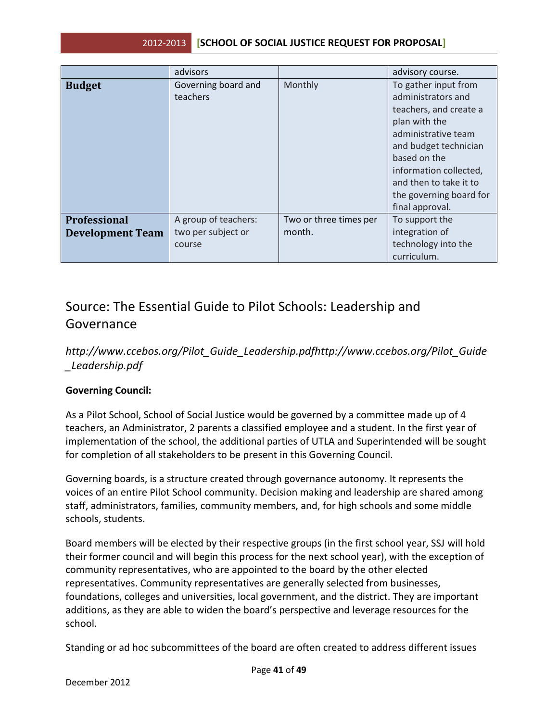|                         | advisors             |                        | advisory course.        |
|-------------------------|----------------------|------------------------|-------------------------|
| <b>Budget</b>           | Governing board and  | Monthly                | To gather input from    |
|                         | teachers             |                        | administrators and      |
|                         |                      |                        | teachers, and create a  |
|                         |                      |                        | plan with the           |
|                         |                      |                        | administrative team     |
|                         |                      |                        | and budget technician   |
|                         |                      |                        | based on the            |
|                         |                      |                        | information collected,  |
|                         |                      |                        | and then to take it to  |
|                         |                      |                        | the governing board for |
|                         |                      |                        | final approval.         |
| <b>Professional</b>     | A group of teachers: | Two or three times per | To support the          |
| <b>Development Team</b> | two per subject or   | month.                 | integration of          |
|                         | course               |                        | technology into the     |
|                         |                      |                        | curriculum.             |

## Source: The Essential Guide to Pilot Schools: Leadership and Governance

## *http://www.ccebos.org/Pilot\_Guide\_Leadership.pdfhttp://www.ccebos.org/Pilot\_Guide \_Leadership.pdf*

#### **Governing Council:**

As a Pilot School, School of Social Justice would be governed by a committee made up of 4 teachers, an Administrator, 2 parents a classified employee and a student. In the first year of implementation of the school, the additional parties of UTLA and Superintended will be sought for completion of all stakeholders to be present in this Governing Council.

Governing boards, is a structure created through governance autonomy. It represents the voices of an entire Pilot School community. Decision making and leadership are shared among staff, administrators, families, community members, and, for high schools and some middle schools, students.

Board members will be elected by their respective groups (in the first school year, SSJ will hold their former council and will begin this process for the next school year), with the exception of community representatives, who are appointed to the board by the other elected representatives. Community representatives are generally selected from businesses, foundations, colleges and universities, local government, and the district. They are important additions, as they are able to widen the board's perspective and leverage resources for the school.

Standing or ad hoc subcommittees of the board are often created to address different issues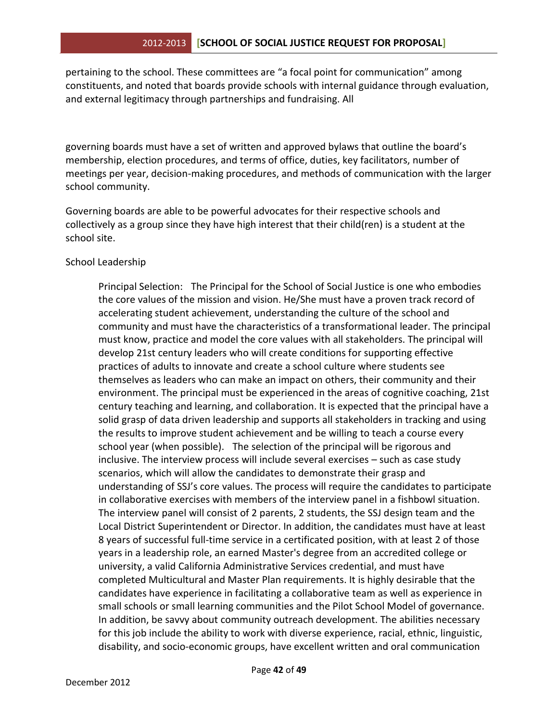pertaining to the school. These committees are "a focal point for communication" among constituents, and noted that boards provide schools with internal guidance through evaluation, and external legitimacy through partnerships and fundraising. All

governing boards must have a set of written and approved bylaws that outline the board's membership, election procedures, and terms of office, duties, key facilitators, number of meetings per year, decision-making procedures, and methods of communication with the larger school community.

Governing boards are able to be powerful advocates for their respective schools and collectively as a group since they have high interest that their child(ren) is a student at the school site.

#### School Leadership

Principal Selection: The Principal for the School of Social Justice is one who embodies the core values of the mission and vision. He/She must have a proven track record of accelerating student achievement, understanding the culture of the school and community and must have the characteristics of a transformational leader. The principal must know, practice and model the core values with all stakeholders. The principal will develop 21st century leaders who will create conditions for supporting effective practices of adults to innovate and create a school culture where students see themselves as leaders who can make an impact on others, their community and their environment. The principal must be experienced in the areas of cognitive coaching, 21st century teaching and learning, and collaboration. It is expected that the principal have a solid grasp of data driven leadership and supports all stakeholders in tracking and using the results to improve student achievement and be willing to teach a course every school year (when possible). The selection of the principal will be rigorous and inclusive. The interview process will include several exercises – such as case study scenarios, which will allow the candidates to demonstrate their grasp and understanding of SSJ's core values. The process will require the candidates to participate in collaborative exercises with members of the interview panel in a fishbowl situation. The interview panel will consist of 2 parents, 2 students, the SSJ design team and the Local District Superintendent or Director. In addition, the candidates must have at least 8 years of successful full-time service in a certificated position, with at least 2 of those years in a leadership role, an earned Master's degree from an accredited college or university, a valid California Administrative Services credential, and must have completed Multicultural and Master Plan requirements. It is highly desirable that the candidates have experience in facilitating a collaborative team as well as experience in small schools or small learning communities and the Pilot School Model of governance. In addition, be savvy about community outreach development. The abilities necessary for this job include the ability to work with diverse experience, racial, ethnic, linguistic, disability, and socio-economic groups, have excellent written and oral communication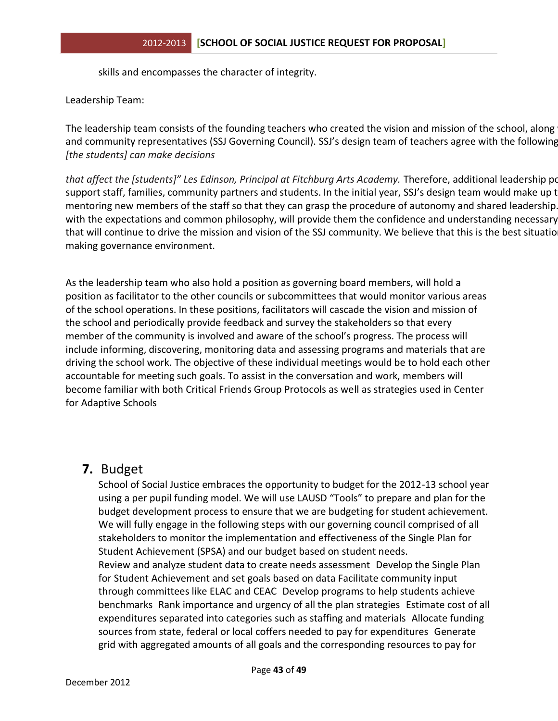skills and encompasses the character of integrity.

Leadership Team:

The leadership team consists of the founding teachers who created the vision and mission of the school, along and community representatives (SSJ Governing Council). SSJ's design team of teachers agree with the following *[the students] can make decisions*

that affect the [students]" Les Edinson, Principal at Fitchburg Arts Academy. Therefore, additional leadership po support staff, families, community partners and students. In the initial year, SSJ's design team would make up t mentoring new members of the staff so that they can grasp the procedure of autonomy and shared leadership. with the expectations and common philosophy, will provide them the confidence and understanding necessary that will continue to drive the mission and vision of the SSJ community. We believe that this is the best situatio making governance environment.

As the leadership team who also hold a position as governing board members, will hold a position as facilitator to the other councils or subcommittees that would monitor various areas of the school operations. In these positions, facilitators will cascade the vision and mission of the school and periodically provide feedback and survey the stakeholders so that every member of the community is involved and aware of the school's progress. The process will include informing, discovering, monitoring data and assessing programs and materials that are driving the school work. The objective of these individual meetings would be to hold each other accountable for meeting such goals. To assist in the conversation and work, members will become familiar with both Critical Friends Group Protocols as well as strategies used in Center for Adaptive Schools

## **7.** Budget

School of Social Justice embraces the opportunity to budget for the 2012-13 school year using a per pupil funding model. We will use LAUSD "Tools" to prepare and plan for the budget development process to ensure that we are budgeting for student achievement. We will fully engage in the following steps with our governing council comprised of all stakeholders to monitor the implementation and effectiveness of the Single Plan for Student Achievement (SPSA) and our budget based on student needs. Review and analyze student data to create needs assessment Develop the Single Plan for Student Achievement and set goals based on data Facilitate community input through committees like ELAC and CEAC Develop programs to help students achieve benchmarks Rank importance and urgency of all the plan strategies Estimate cost of all expenditures separated into categories such as staffing and materials Allocate funding sources from state, federal or local coffers needed to pay for expenditures Generate grid with aggregated amounts of all goals and the corresponding resources to pay for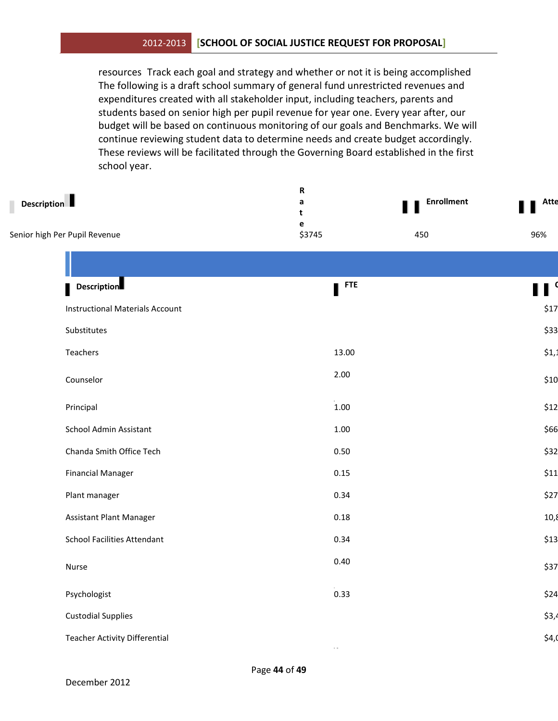#### 2012-2013 **[SCHOOL OF SOCIAL JUSTICE REQUEST FOR PROPOSAL]**

resources Track each goal and strategy and whether or not it is being accomplished The following is a draft school summary of general fund unrestricted revenues and expenditures created with all stakeholder input, including teachers, parents and students based on senior high per pupil revenue for year one. Every year after, our budget will be based on continuous monitoring of our goals and Benchmarks. We will continue reviewing student data to determine needs and create budget accordingly. These reviews will be facilitated through the Governing Board established in the first school year.

| <b>Description</b>                     | ${\bf R}$<br>$\mathsf{a}$<br>t<br>$\mathbf{e}$ | <b>Enrollment</b> | <b>Atte</b> |
|----------------------------------------|------------------------------------------------|-------------------|-------------|
| Senior high Per Pupil Revenue          | \$3745                                         | 450               | 96%         |
|                                        |                                                |                   |             |
| <b>Description</b>                     | $\blacksquare$ <sup>FTE</sup>                  |                   | П           |
| <b>Instructional Materials Account</b> |                                                |                   | \$17        |
| Substitutes                            |                                                |                   | \$33        |
| Teachers                               | 13.00                                          |                   | \$1,1       |
| Counselor                              | 2.00                                           |                   | \$10        |
| Principal                              | $1.00\,$                                       |                   | \$12        |
| School Admin Assistant                 | $1.00\,$                                       |                   | \$66        |
| Chanda Smith Office Tech               | 0.50                                           |                   | \$32        |
| <b>Financial Manager</b>               | 0.15                                           |                   | \$11        |
| Plant manager                          | 0.34                                           |                   | \$27        |
| Assistant Plant Manager                | 0.18                                           |                   | 10,8        |
| <b>School Facilities Attendant</b>     | 0.34                                           |                   | \$13        |
| Nurse                                  | 0.40                                           |                   | \$37        |
| Psychologist                           | 0.33                                           |                   | \$24        |
| <b>Custodial Supplies</b>              |                                                |                   | \$3,4       |
| <b>Teacher Activity Differential</b>   | $\sim$ $\sim$                                  |                   | \$4,0       |
|                                        |                                                |                   |             |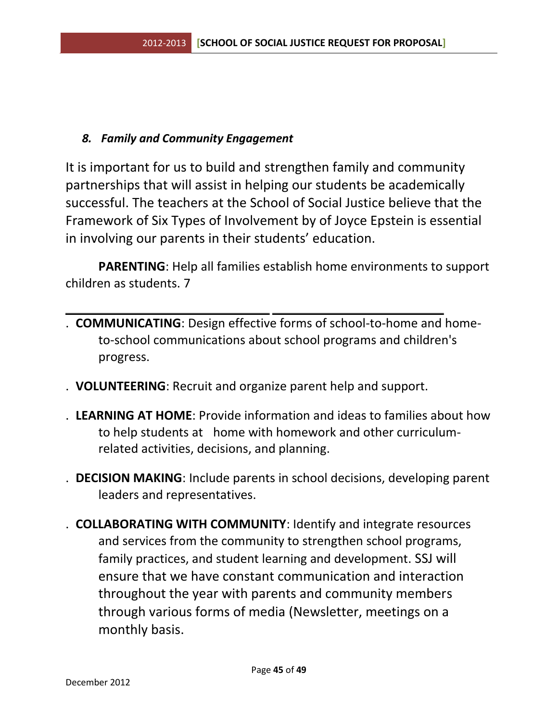## *8. Family and Community Engagement*

It is important for us to build and strengthen family and community partnerships that will assist in helping our students be academically successful. The teachers at the School of Social Justice believe that the Framework of Six Types of Involvement by of Joyce Epstein is essential in involving our parents in their students' education.

**PARENTING**: Help all families establish home environments to support children as students. 7

- . **COMMUNICATING**: Design effective forms of school-to-home and hometo-school communications about school programs and children's progress.
- . **VOLUNTEERING**: Recruit and organize parent help and support.
- . **LEARNING AT HOME**: Provide information and ideas to families about how to help students at home with homework and other curriculumrelated activities, decisions, and planning.
- . **DECISION MAKING**: Include parents in school decisions, developing parent leaders and representatives.
- . **COLLABORATING WITH COMMUNITY**: Identify and integrate resources and services from the community to strengthen school programs, family practices, and student learning and development. SSJ will ensure that we have constant communication and interaction throughout the year with parents and community members through various forms of media (Newsletter, meetings on a monthly basis.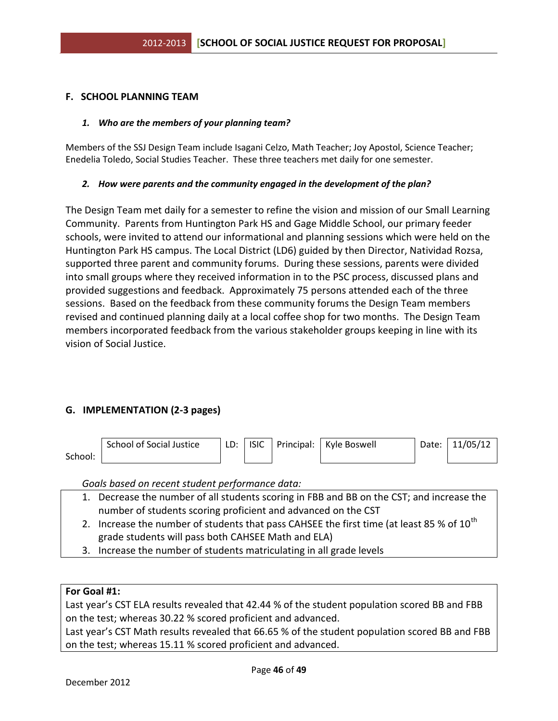#### **F. SCHOOL PLANNING TEAM**

#### *1. Who are the members of your planning team?*

Members of the SSJ Design Team include Isagani Celzo, Math Teacher; Joy Apostol, Science Teacher; Enedelia Toledo, Social Studies Teacher. These three teachers met daily for one semester.

#### *2. How were parents and the community engaged in the development of the plan?*

The Design Team met daily for a semester to refine the vision and mission of our Small Learning Community. Parents from Huntington Park HS and Gage Middle School, our primary feeder schools, were invited to attend our informational and planning sessions which were held on the Huntington Park HS campus. The Local District (LD6) guided by then Director, Natividad Rozsa, supported three parent and community forums. During these sessions, parents were divided into small groups where they received information in to the PSC process, discussed plans and provided suggestions and feedback. Approximately 75 persons attended each of the three sessions. Based on the feedback from these community forums the Design Team members revised and continued planning daily at a local coffee shop for two months. The Design Team members incorporated feedback from the various stakeholder groups keeping in line with its vision of Social Justice.

#### **G. IMPLEMENTATION (2-3 pages)**

|         | School of Social Justice | LD: | <b>ISIC</b> | Principal: | Kyle Boswell | Date: | 11/05/12 |
|---------|--------------------------|-----|-------------|------------|--------------|-------|----------|
| School: |                          |     |             |            |              |       |          |

*Goals based on recent student performance data:*

- 1. Decrease the number of all students scoring in FBB and BB on the CST; and increase the number of students scoring proficient and advanced on the CST
- 2. Increase the number of students that pass CAHSEE the first time (at least 85 % of  $10^{th}$ ) grade students will pass both CAHSEE Math and ELA)
- 3. Increase the number of students matriculating in all grade levels

#### **For Goal #1:**

Last year's CST ELA results revealed that 42.44 % of the student population scored BB and FBB on the test; whereas 30.22 % scored proficient and advanced.

Last year's CST Math results revealed that 66.65 % of the student population scored BB and FBB on the test; whereas 15.11 % scored proficient and advanced.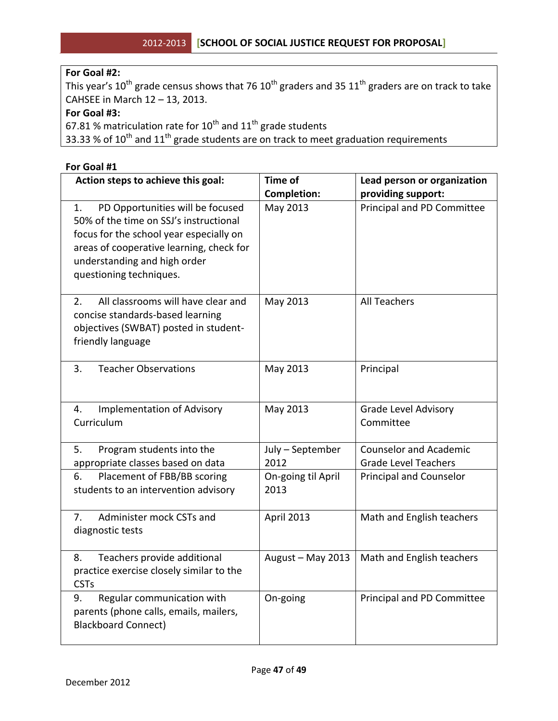## **For Goal #2:**

This year's 10<sup>th</sup> grade census shows that 76 10<sup>th</sup> graders and 35 11<sup>th</sup> graders are on track to take CAHSEE in March 12 – 13, 2013.

#### **For Goal #3:**

67.81 % matriculation rate for  $10^{th}$  and  $11^{th}$  grade students

33.33 % of  $10^{th}$  and  $11^{th}$  grade students are on track to meet graduation requirements

#### **For Goal #1**

| Action steps to achieve this goal:                                                                                                                                                                                                 | <b>Time of</b>             | Lead person or organization                                  |  |
|------------------------------------------------------------------------------------------------------------------------------------------------------------------------------------------------------------------------------------|----------------------------|--------------------------------------------------------------|--|
|                                                                                                                                                                                                                                    | <b>Completion:</b>         | providing support:                                           |  |
| PD Opportunities will be focused<br>1.<br>50% of the time on SSJ's instructional<br>focus for the school year especially on<br>areas of cooperative learning, check for<br>understanding and high order<br>questioning techniques. | May 2013                   | Principal and PD Committee                                   |  |
| All classrooms will have clear and<br>2.<br>concise standards-based learning<br>objectives (SWBAT) posted in student-<br>friendly language                                                                                         | May 2013                   | <b>All Teachers</b>                                          |  |
| 3.<br><b>Teacher Observations</b>                                                                                                                                                                                                  | May 2013                   | Principal                                                    |  |
| <b>Implementation of Advisory</b><br>4.<br>Curriculum                                                                                                                                                                              | May 2013                   | <b>Grade Level Advisory</b><br>Committee                     |  |
| 5.<br>Program students into the<br>appropriate classes based on data                                                                                                                                                               | July - September<br>2012   | <b>Counselor and Academic</b><br><b>Grade Level Teachers</b> |  |
| Placement of FBB/BB scoring<br>6.<br>students to an intervention advisory                                                                                                                                                          | On-going til April<br>2013 | Principal and Counselor                                      |  |
| Administer mock CSTs and<br>7.<br>diagnostic tests                                                                                                                                                                                 | April 2013                 | Math and English teachers                                    |  |
| Teachers provide additional<br>8.<br>practice exercise closely similar to the<br><b>CSTs</b>                                                                                                                                       | August - May 2013          | Math and English teachers                                    |  |
| Regular communication with<br>9.<br>parents (phone calls, emails, mailers,<br><b>Blackboard Connect)</b>                                                                                                                           | On-going                   | Principal and PD Committee                                   |  |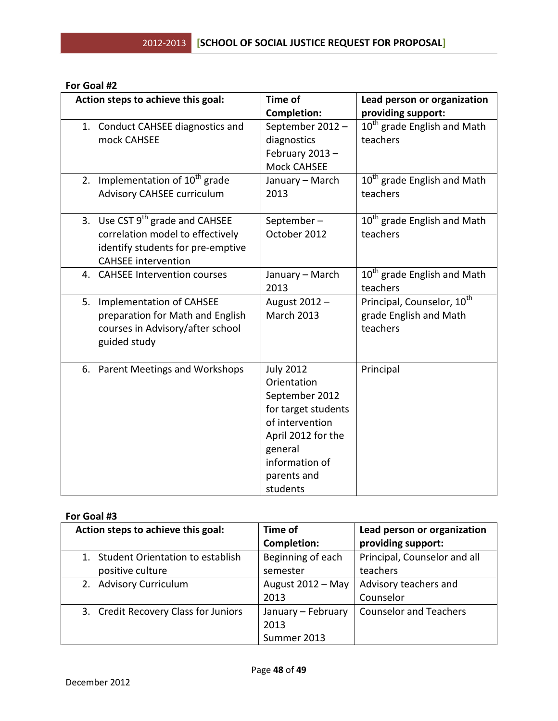| Action steps to achieve this goal:                                                                                                          | <b>Time of</b>                                                                                                                                                            | Lead person or organization                                                  |
|---------------------------------------------------------------------------------------------------------------------------------------------|---------------------------------------------------------------------------------------------------------------------------------------------------------------------------|------------------------------------------------------------------------------|
|                                                                                                                                             | <b>Completion:</b>                                                                                                                                                        | providing support:                                                           |
| 1. Conduct CAHSEE diagnostics and<br>mock CAHSEE                                                                                            | September 2012-<br>diagnostics<br>February 2013-<br><b>Mock CAHSEE</b>                                                                                                    | 10 <sup>th</sup> grade English and Math<br>teachers                          |
| 2. Implementation of $10^{th}$ grade<br><b>Advisory CAHSEE curriculum</b>                                                                   | January - March<br>2013                                                                                                                                                   | 10 <sup>th</sup> grade English and Math<br>teachers                          |
| 3. Use CST $9^{th}$ grade and CAHSEE<br>correlation model to effectively<br>identify students for pre-emptive<br><b>CAHSEE</b> intervention | September-<br>October 2012                                                                                                                                                | 10 <sup>th</sup> grade English and Math<br>teachers                          |
| 4. CAHSEE Intervention courses                                                                                                              | January - March<br>2013                                                                                                                                                   | 10 <sup>th</sup> grade English and Math<br>teachers                          |
| 5.<br><b>Implementation of CAHSEE</b><br>preparation for Math and English<br>courses in Advisory/after school<br>guided study               | August 2012 -<br><b>March 2013</b>                                                                                                                                        | Principal, Counselor, 10 <sup>th</sup><br>grade English and Math<br>teachers |
| 6. Parent Meetings and Workshops                                                                                                            | <b>July 2012</b><br>Orientation<br>September 2012<br>for target students<br>of intervention<br>April 2012 for the<br>general<br>information of<br>parents and<br>students | Principal                                                                    |

#### **For Goal #2**

#### **For Goal #3**

| Action steps to achieve this goal:   | Time of            | Lead person or organization   |
|--------------------------------------|--------------------|-------------------------------|
|                                      | <b>Completion:</b> | providing support:            |
| Student Orientation to establish     | Beginning of each  | Principal, Counselor and all  |
| positive culture                     | semester           | teachers                      |
| <b>Advisory Curriculum</b><br>2.     | August 2012 - May  | Advisory teachers and         |
|                                      | 2013               | Counselor                     |
| 3. Credit Recovery Class for Juniors | January - February | <b>Counselor and Teachers</b> |
|                                      | 2013               |                               |
|                                      | Summer 2013        |                               |